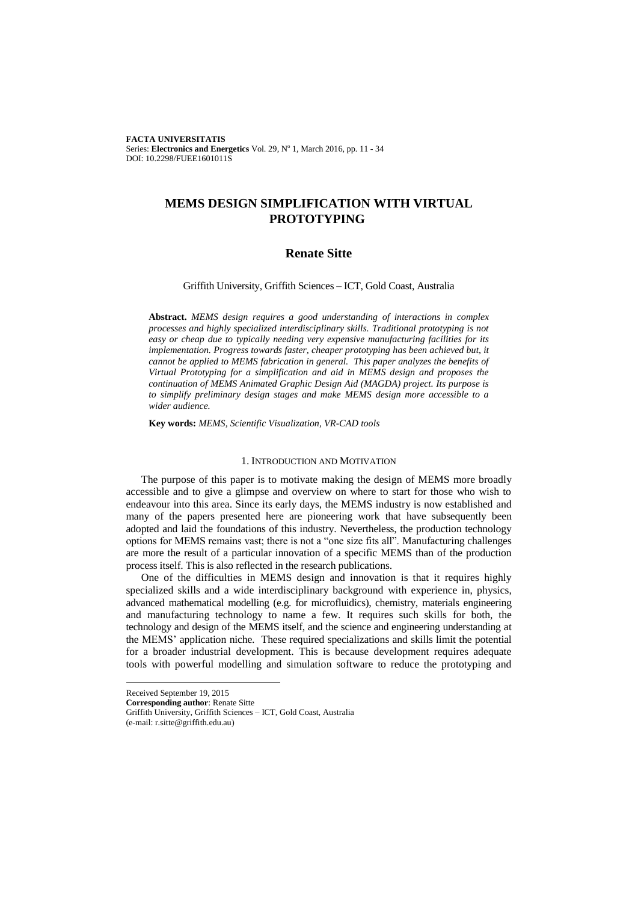**FACTA UNIVERSITATIS** Series: Electronics and Energetics Vol. 29, Nº 1, March 2016, pp. 11 - 34 DOI: 10.2298/FUEE1601011S

# **MEMS DESIGN SIMPLIFICATION WITH VIRTUAL PROTOTYPING**

## **Renate Sitte**

## Griffith University, [Griffith Sciences](https://www.griffith.edu.au/griffith-sciences) – ICT, Gold Coast, Australia

**Abstract.** *MEMS design requires a good understanding of interactions in complex processes and highly specialized interdisciplinary skills. Traditional prototyping is not easy or cheap due to typically needing very expensive manufacturing facilities for its implementation. Progress towards faster, cheaper prototyping has been achieved but, it cannot be applied to MEMS fabrication in general. This paper analyzes the benefits of Virtual Prototyping for a simplification and aid in MEMS design and proposes the continuation of MEMS Animated Graphic Design Aid (MAGDA) project. Its purpose is to simplify preliminary design stages and make MEMS design more accessible to a wider audience.*

**Key words:** *MEMS, Scientific Visualization, VR-CAD tools*

#### 1. INTRODUCTION AND MOTIVATION

The purpose of this paper is to motivate making the design of MEMS more broadly accessible and to give a glimpse and overview on where to start for those who wish to endeavour into this area. Since its early days, the MEMS industry is now established and many of the papers presented here are pioneering work that have subsequently been adopted and laid the foundations of this industry. Nevertheless, the production technology options for MEMS remains vast; there is not a "one size fits all". Manufacturing challenges are more the result of a particular innovation of a specific MEMS than of the production process itself. This is also reflected in the research publications.

One of the difficulties in MEMS design and innovation is that it requires highly specialized skills and a wide interdisciplinary background with experience in, physics, advanced mathematical modelling (e.g. for microfluidics), chemistry, materials engineering and manufacturing technology to name a few. It requires such skills for both, the technology and design of the MEMS itself, and the science and engineering understanding at the MEMS' application niche. These required specializations and skills limit the potential for a broader industrial development. This is because development requires adequate tools with powerful modelling and simulation software to reduce the prototyping and

 $\overline{a}$ 

Received September 19, 2015

**Corresponding author**: Renate Sitte Griffith University, Griffith Sciences – ICT, Gold Coast, Australia

<sup>(</sup>e-mail: r.sitte@griffith.edu.au)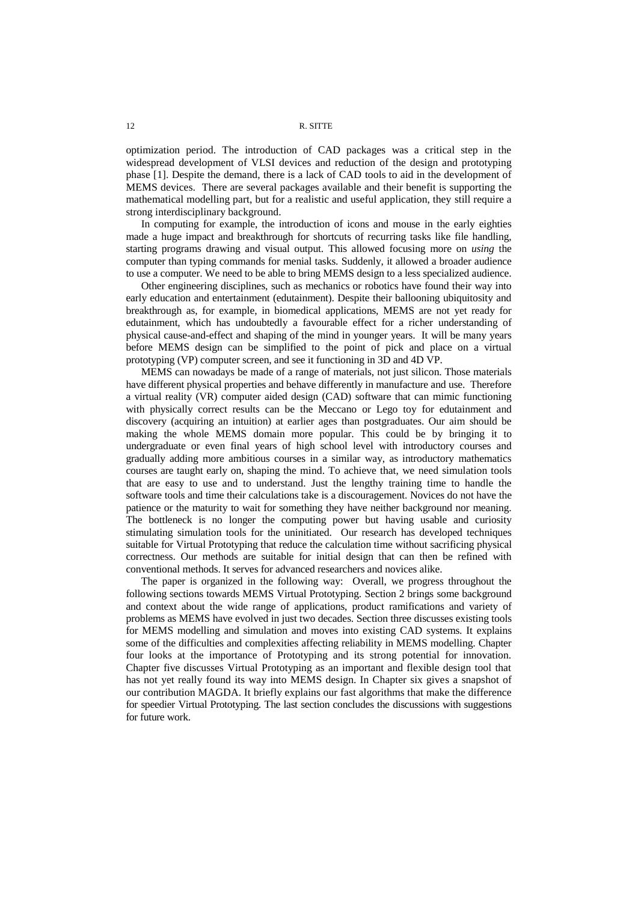optimization period. The introduction of CAD packages was a critical step in the widespread development of VLSI devices and reduction of the design and prototyping phase [1]. Despite the demand, there is a lack of CAD tools to aid in the development of MEMS devices. There are several packages available and their benefit is supporting the mathematical modelling part, but for a realistic and useful application, they still require a strong interdisciplinary background.

In computing for example, the introduction of icons and mouse in the early eighties made a huge impact and breakthrough for shortcuts of recurring tasks like file handling, starting programs drawing and visual output. This allowed focusing more on *using* the computer than typing commands for menial tasks. Suddenly, it allowed a broader audience to use a computer. We need to be able to bring MEMS design to a less specialized audience.

Other engineering disciplines, such as mechanics or robotics have found their way into early education and entertainment (edutainment). Despite their ballooning ubiquitosity and breakthrough as, for example, in biomedical applications, MEMS are not yet ready for edutainment, which has undoubtedly a favourable effect for a richer understanding of physical cause-and-effect and shaping of the mind in younger years. It will be many years before MEMS design can be simplified to the point of pick and place on a virtual prototyping (VP) computer screen, and see it functioning in 3D and 4D VP.

MEMS can nowadays be made of a range of materials, not just silicon. Those materials have different physical properties and behave differently in manufacture and use. Therefore a virtual reality (VR) computer aided design (CAD) software that can mimic functioning with physically correct results can be the Meccano or Lego toy for edutainment and discovery (acquiring an intuition) at earlier ages than postgraduates. Our aim should be making the whole MEMS domain more popular. This could be by bringing it to undergraduate or even final years of high school level with introductory courses and gradually adding more ambitious courses in a similar way, as introductory mathematics courses are taught early on, shaping the mind. To achieve that, we need simulation tools that are easy to use and to understand. Just the lengthy training time to handle the software tools and time their calculations take is a discouragement. Novices do not have the patience or the maturity to wait for something they have neither background nor meaning. The bottleneck is no longer the computing power but having usable and curiosity stimulating simulation tools for the uninitiated. Our research has developed techniques suitable for Virtual Prototyping that reduce the calculation time without sacrificing physical correctness. Our methods are suitable for initial design that can then be refined with conventional methods. It serves for advanced researchers and novices alike.

The paper is organized in the following way: Overall, we progress throughout the following sections towards MEMS Virtual Prototyping. Section 2 brings some background and context about the wide range of applications, product ramifications and variety of problems as MEMS have evolved in just two decades. Section three discusses existing tools for MEMS modelling and simulation and moves into existing CAD systems. It explains some of the difficulties and complexities affecting reliability in MEMS modelling. Chapter four looks at the importance of Prototyping and its strong potential for innovation. Chapter five discusses Virtual Prototyping as an important and flexible design tool that has not yet really found its way into MEMS design. In Chapter six gives a snapshot of our contribution MAGDA. It briefly explains our fast algorithms that make the difference for speedier Virtual Prototyping. The last section concludes the discussions with suggestions for future work.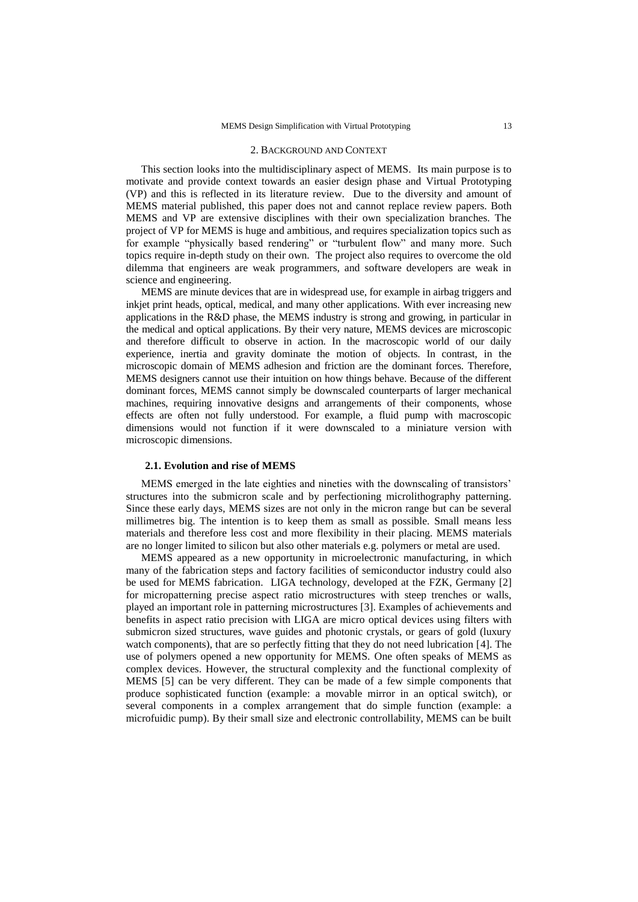#### 2. BACKGROUND AND CONTEXT

This section looks into the multidisciplinary aspect of MEMS. Its main purpose is to motivate and provide context towards an easier design phase and Virtual Prototyping (VP) and this is reflected in its literature review. Due to the diversity and amount of MEMS material published, this paper does not and cannot replace review papers. Both MEMS and VP are extensive disciplines with their own specialization branches. The project of VP for MEMS is huge and ambitious, and requires specialization topics such as for example "physically based rendering" or "turbulent flow" and many more. Such topics require in-depth study on their own. The project also requires to overcome the old dilemma that engineers are weak programmers, and software developers are weak in science and engineering.

MEMS are minute devices that are in widespread use, for example in airbag triggers and inkjet print heads, optical, medical, and many other applications. With ever increasing new applications in the R&D phase, the MEMS industry is strong and growing, in particular in the medical and optical applications. By their very nature, MEMS devices are microscopic and therefore difficult to observe in action. In the macroscopic world of our daily experience, inertia and gravity dominate the motion of objects. In contrast, in the microscopic domain of MEMS adhesion and friction are the dominant forces. Therefore, MEMS designers cannot use their intuition on how things behave. Because of the different dominant forces, MEMS cannot simply be downscaled counterparts of larger mechanical machines, requiring innovative designs and arrangements of their components, whose effects are often not fully understood. For example, a fluid pump with macroscopic dimensions would not function if it were downscaled to a miniature version with microscopic dimensions.

## **2.1. Evolution and rise of MEMS**

MEMS emerged in the late eighties and nineties with the downscaling of transistors' structures into the submicron scale and by perfectioning microlithography patterning. Since these early days, MEMS sizes are not only in the micron range but can be several millimetres big. The intention is to keep them as small as possible. Small means less materials and therefore less cost and more flexibility in their placing. MEMS materials are no longer limited to silicon but also other materials e.g. polymers or metal are used.

MEMS appeared as a new opportunity in microelectronic manufacturing, in which many of the fabrication steps and factory facilities of semiconductor industry could also be used for MEMS fabrication. LIGA technology, developed at the FZK, Germany [2] for micropatterning precise aspect ratio microstructures with steep trenches or walls, played an important role in patterning microstructures [3]. Examples of achievements and benefits in aspect ratio precision with LIGA are micro optical devices using filters with submicron sized structures, wave guides and photonic crystals, or gears of gold (luxury watch components), that are so perfectly fitting that they do not need lubrication [4]. The use of polymers opened a new opportunity for MEMS. One often speaks of MEMS as complex devices. However, the structural complexity and the functional complexity of MEMS [5] can be very different. They can be made of a few simple components that produce sophisticated function (example: a movable mirror in an optical switch), or several components in a complex arrangement that do simple function (example: a microfuidic pump). By their small size and electronic controllability, MEMS can be built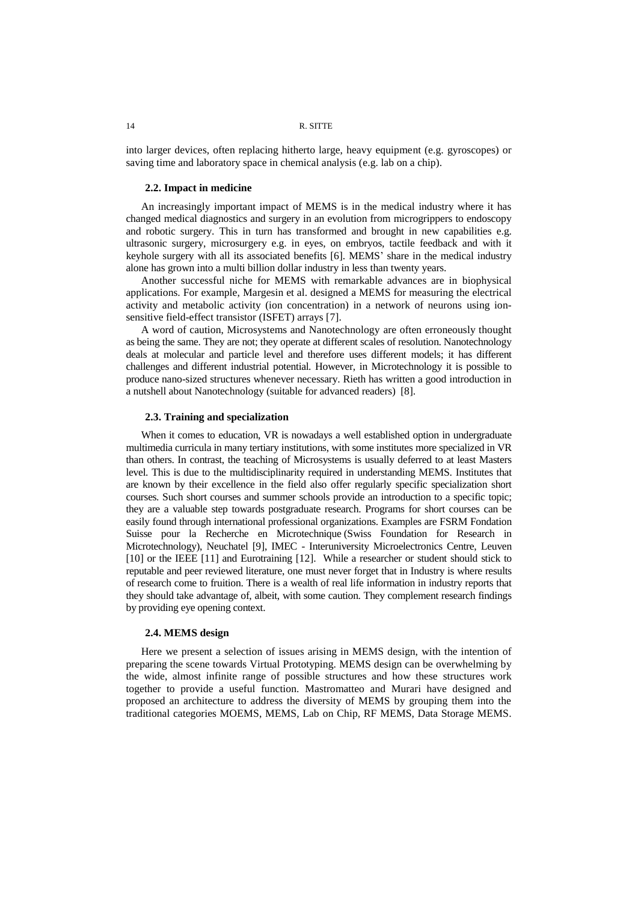into larger devices, often replacing hitherto large, heavy equipment (e.g. gyroscopes) or saving time and laboratory space in chemical analysis (e.g. lab on a chip).

#### **2.2. Impact in medicine**

An increasingly important impact of MEMS is in the medical industry where it has changed medical diagnostics and surgery in an evolution from microgrippers to endoscopy and robotic surgery. This in turn has transformed and brought in new capabilities e.g. ultrasonic surgery, microsurgery e.g. in eyes, on embryos, tactile feedback and with it keyhole surgery with all its associated benefits [6]. MEMS' share in the medical industry alone has grown into a multi billion dollar industry in less than twenty years.

Another successful niche for MEMS with remarkable advances are in biophysical applications. For example, Margesin et al. designed a MEMS for measuring the electrical activity and metabolic activity (ion concentration) in a network of neurons using ionsensitive field-effect transistor (ISFET) arrays [7].

A word of caution, Microsystems and Nanotechnology are often erroneously thought as being the same. They are not; they operate at different scales of resolution. Nanotechnology deals at molecular and particle level and therefore uses different models; it has different challenges and different industrial potential. However, in Microtechnology it is possible to produce nano-sized structures whenever necessary. Rieth has written a good introduction in a nutshell about Nanotechnology (suitable for advanced readers) [8].

## **2.3. Training and specialization**

When it comes to education, VR is nowadays a well established option in undergraduate multimedia curricula in many tertiary institutions, with some institutes more specialized in VR than others. In contrast, the teaching of Microsystems is usually deferred to at least Masters level. This is due to the multidisciplinarity required in understanding MEMS. Institutes that are known by their excellence in the field also offer regularly specific specialization short courses. Such short courses and summer schools provide an introduction to a specific topic; they are a valuable step towards postgraduate research. Programs for short courses can be easily found through international professional organizations. Examples are FSRM Fondation Suisse pour la Recherche en Microtechnique (Swiss Foundation for Research in Microtechnology), Neuchatel [9], IMEC - Interuniversity Microelectronics Centre, Leuven [10] or the IEEE [11] and Eurotraining [12]. While a researcher or student should stick to reputable and peer reviewed literature, one must never forget that in Industry is where results of research come to fruition. There is a wealth of real life information in industry reports that they should take advantage of, albeit, with some caution. They complement research findings by providing eye opening context.

#### **2.4. MEMS design**

Here we present a selection of issues arising in MEMS design, with the intention of preparing the scene towards Virtual Prototyping. MEMS design can be overwhelming by the wide, almost infinite range of possible structures and how these structures work together to provide a useful function. Mastromatteo and Murari have designed and proposed an architecture to address the diversity of MEMS by grouping them into the traditional categories MOEMS, MEMS, Lab on Chip, RF MEMS, Data Storage MEMS.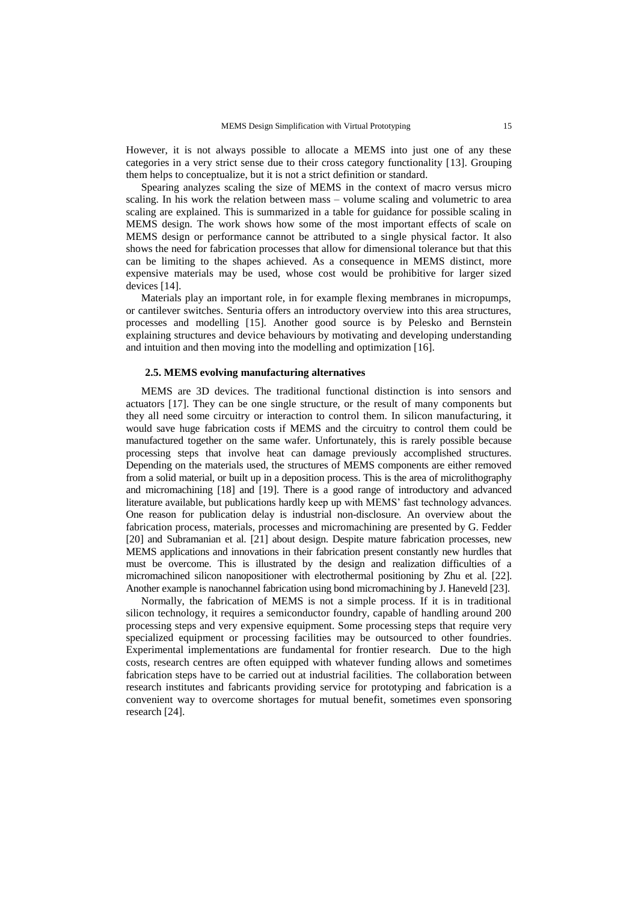However, it is not always possible to allocate a MEMS into just one of any these categories in a very strict sense due to their cross category functionality [13]. Grouping them helps to conceptualize, but it is not a strict definition or standard.

Spearing analyzes scaling the size of MEMS in the context of macro versus micro scaling. In his work the relation between mass – volume scaling and volumetric to area scaling are explained. This is summarized in a table for guidance for possible scaling in MEMS design. The work shows how some of the most important effects of scale on MEMS design or performance cannot be attributed to a single physical factor. It also shows the need for fabrication processes that allow for dimensional tolerance but that this can be limiting to the shapes achieved. As a consequence in MEMS distinct, more expensive materials may be used, whose cost would be prohibitive for larger sized devices [14].

Materials play an important role, in for example flexing membranes in micropumps, or cantilever switches. Senturia offers an introductory overview into this area structures, processes and modelling [15]. Another good source is by Pelesko and Bernstein explaining structures and device behaviours by motivating and developing understanding and intuition and then moving into the modelling and optimization [16].

## **2.5. MEMS evolving manufacturing alternatives**

MEMS are 3D devices. The traditional functional distinction is into sensors and actuators [17]. They can be one single structure, or the result of many components but they all need some circuitry or interaction to control them. In silicon manufacturing, it would save huge fabrication costs if MEMS and the circuitry to control them could be manufactured together on the same wafer. Unfortunately, this is rarely possible because processing steps that involve heat can damage previously accomplished structures. Depending on the materials used, the structures of MEMS components are either removed from a solid material, or built up in a deposition process. This is the area of microlithography and micromachining [18] and [19]. There is a good range of introductory and advanced literature available, but publications hardly keep up with MEMS' fast technology advances. One reason for publication delay is industrial non-disclosure. An overview about the fabrication process, materials, processes and micromachining are presented by G. Fedder [20] and Subramanian et al. [21] about design. Despite mature fabrication processes, new MEMS applications and innovations in their fabrication present constantly new hurdles that must be overcome. This is illustrated by the design and realization difficulties of a micromachined silicon nanopositioner with electrothermal positioning by Zhu et al. [22]. Another example is nanochannel fabrication using bond micromachining by J. Haneveld [23].

Normally, the fabrication of MEMS is not a simple process. If it is in traditional silicon technology, it requires a semiconductor foundry, capable of handling around 200 processing steps and very expensive equipment. Some processing steps that require very specialized equipment or processing facilities may be outsourced to other foundries. Experimental implementations are fundamental for frontier research. Due to the high costs, research centres are often equipped with whatever funding allows and sometimes fabrication steps have to be carried out at industrial facilities. The collaboration between research institutes and fabricants providing service for prototyping and fabrication is a convenient way to overcome shortages for mutual benefit, sometimes even sponsoring research [24].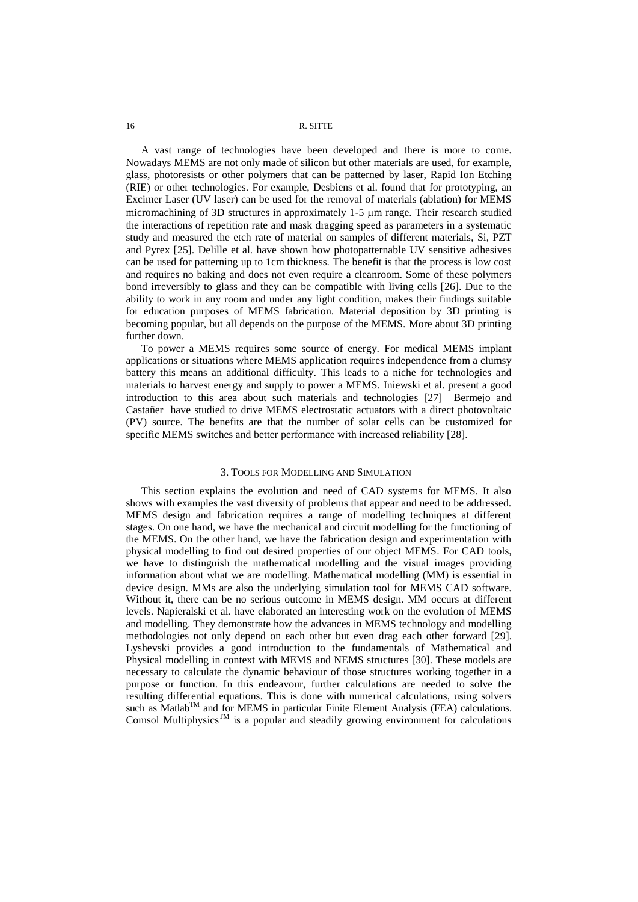A vast range of technologies have been developed and there is more to come. Nowadays MEMS are not only made of silicon but other materials are used, for example, glass, photoresists or other polymers that can be patterned by laser, Rapid Ion Etching (RIE) or other technologies. For example, Desbiens et al. found that for prototyping, an Excimer Laser (UV laser) can be used for the removal of materials (ablation) for MEMS micromachining of 3D structures in approximately  $1-5 \mu m$  range. Their research studied the interactions of repetition rate and mask dragging speed as parameters in a systematic study and measured the etch rate of material on samples of different materials, Si, PZT and Pyrex [25]. Delille et al. have shown how photopatternable UV sensitive adhesives can be used for patterning up to 1cm thickness. The benefit is that the process is low cost and requires no baking and does not even require a cleanroom. Some of these polymers bond irreversibly to glass and they can be compatible with living cells [26]. Due to the ability to work in any room and under any light condition, makes their findings suitable for education purposes of MEMS fabrication. Material deposition by 3D printing is becoming popular, but all depends on the purpose of the MEMS. More about 3D printing further down.

To power a MEMS requires some source of energy. For medical MEMS implant applications or situations where MEMS application requires independence from a clumsy battery this means an additional difficulty. This leads to a niche for technologies and materials to harvest energy and supply to power a MEMS. Iniewski et al. present a good introduction to this area about such materials and technologies [27] Bermejo and Castañer have studied to drive MEMS electrostatic actuators with a direct photovoltaic (PV) source. The benefits are that the number of solar cells can be customized for specific MEMS switches and better performance with increased reliability [28].

## 3. TOOLS FOR MODELLING AND SIMULATION

This section explains the evolution and need of CAD systems for MEMS. It also shows with examples the vast diversity of problems that appear and need to be addressed. MEMS design and fabrication requires a range of modelling techniques at different stages. On one hand, we have the mechanical and circuit modelling for the functioning of the MEMS. On the other hand, we have the fabrication design and experimentation with physical modelling to find out desired properties of our object MEMS. For CAD tools, we have to distinguish the mathematical modelling and the visual images providing information about what we are modelling. Mathematical modelling (MM) is essential in device design. MMs are also the underlying simulation tool for MEMS CAD software. Without it, there can be no serious outcome in MEMS design. MM occurs at different levels. Napieralski et al. have elaborated an interesting work on the evolution of MEMS and modelling. They demonstrate how the advances in MEMS technology and modelling methodologies not only depend on each other but even drag each other forward [29]. Lyshevski provides a good introduction to the fundamentals of Mathematical and Physical modelling in context with MEMS and NEMS structures [30]. These models are necessary to calculate the dynamic behaviour of those structures working together in a purpose or function. In this endeavour, further calculations are needed to solve the resulting differential equations. This is done with numerical calculations, using solvers such as Matlab<sup>TM</sup> and for MEMS in particular Finite Element Analysis (FEA) calculations. Comsol Multiphysics<sup>TM</sup> is a popular and steadily growing environment for calculations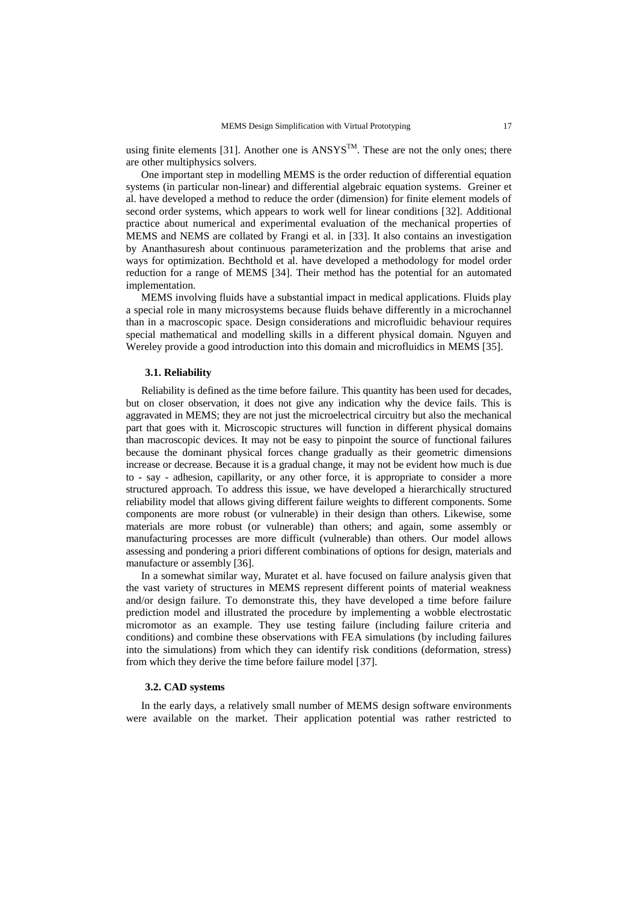using finite elements [31]. Another one is  $ANSYS^{TM}$ . These are not the only ones; there are other multiphysics solvers.

One important step in modelling MEMS is the order reduction of differential equation systems (in particular non-linear) and differential algebraic equation systems. Greiner et al. have developed a method to reduce the order (dimension) for finite element models of second order systems, which appears to work well for linear conditions [32]. Additional practice about numerical and experimental evaluation of the mechanical properties of MEMS and NEMS are collated by Frangi et al. in [33]. It also contains an investigation by Ananthasuresh about continuous parameterization and the problems that arise and ways for optimization. Bechthold et al. have developed a methodology for model order reduction for a range of MEMS [34]. Their method has the potential for an automated implementation.

MEMS involving fluids have a substantial impact in medical applications. Fluids play a special role in many microsystems because fluids behave differently in a microchannel than in a macroscopic space. Design considerations and microfluidic behaviour requires special mathematical and modelling skills in a different physical domain. Nguyen and Wereley provide a good introduction into this domain and microfluidics in MEMS [35].

#### **3.1. Reliability**

Reliability is defined as the time before failure. This quantity has been used for decades, but on closer observation, it does not give any indication why the device fails. This is aggravated in MEMS; they are not just the microelectrical circuitry but also the mechanical part that goes with it. Microscopic structures will function in different physical domains than macroscopic devices. It may not be easy to pinpoint the source of functional failures because the dominant physical forces change gradually as their geometric dimensions increase or decrease. Because it is a gradual change, it may not be evident how much is due to - say - adhesion, capillarity, or any other force, it is appropriate to consider a more structured approach. To address this issue, we have developed a hierarchically structured reliability model that allows giving different failure weights to different components. Some components are more robust (or vulnerable) in their design than others. Likewise, some materials are more robust (or vulnerable) than others; and again, some assembly or manufacturing processes are more difficult (vulnerable) than others. Our model allows assessing and pondering a priori different combinations of options for design, materials and manufacture or assembly [36].

In a somewhat similar way, Muratet et al. have focused on failure analysis given that the vast variety of structures in MEMS represent different points of material weakness and/or design failure. To demonstrate this, they have developed a time before failure prediction model and illustrated the procedure by implementing a wobble electrostatic micromotor as an example. They use testing failure (including failure criteria and conditions) and combine these observations with FEA simulations (by including failures into the simulations) from which they can identify risk conditions (deformation, stress) from which they derive the time before failure model [37].

#### **3.2. CAD systems**

In the early days, a relatively small number of MEMS design software environments were available on the market. Their application potential was rather restricted to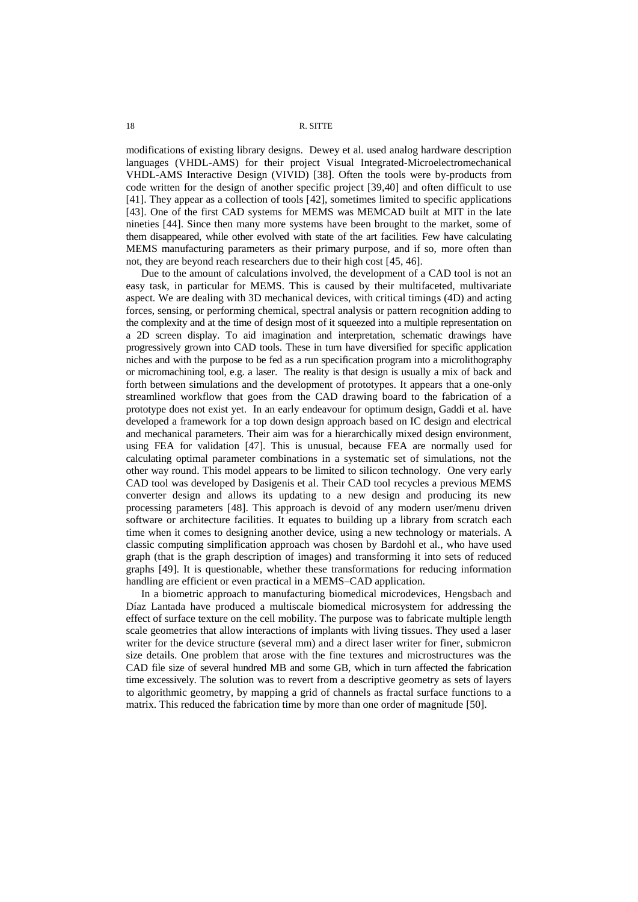<span id="page-7-0"></span>modifications of existing library designs. Dewey et al. used analog hardware description languages (VHDL-AMS) for their project Visual Integrated-Microelectromechanical VHDL-AMS Interactive Design (VIVID) [38]. Often the tools were by-products from code written for the design of another specific project [39,40] and often difficult to use [41]. They appear as a collection of tools [42], sometimes limited to specific applications [43]. One of the first CAD systems for MEMS was MEMCAD built at MIT in the late nineties [44]. Since then many more systems have been brought to the market, some of them disappeared, while other evolved with state of the art facilities. Few have calculating MEMS manufacturing parameters as their primary purpose, and if so, more often than not, they are beyond reach researchers due to their high cost [45, 46].

Due to the amount of calculations involved, the development of a CAD tool is not an easy task, in particular for MEMS. This is caused by their multifaceted, multivariate aspect. We are dealing with 3D mechanical devices, with critical timings (4D) and acting forces, sensing, or performing chemical, spectral analysis or pattern recognition adding to the complexity and at the time of design most of it squeezed into a multiple representation on a 2D screen display. To aid imagination and interpretation, schematic drawings have progressively grown into CAD tools. These in turn have diversified for specific application niches and with the purpose to be fed as a run specification program into a microlithography or micromachining tool, e.g. a laser. The reality is that design is usually a mix of back and forth between simulations and the development of prototypes. It appears that a one-only streamlined workflow that goes from the CAD drawing board to the fabrication of a prototype does not exist yet. In an early endeavour for optimum design, Gaddi et al. have developed a framework for a top down design approach based on IC design and electrical and mechanical parameters. Their aim was for a hierarchically mixed design environment, using FEA for validation [47]. This is unusual, because FEA are normally used for calculating optimal parameter combinations in a systematic set of simulations, not the other way round. This model appears to be limited to silicon technology. One very early CAD tool was developed by Dasigenis et al. Their CAD tool recycles a previous MEMS converter design and allows its updating to a new design and producing its new processing parameters [48]. This approach is devoid of any modern user/menu driven software or architecture facilities. It equates to building up a library from scratch each time when it comes to designing another device, using a new technology or materials. A classic computing simplification approach was chosen by Bardohl et al., who have used graph (that is the graph description of images) and transforming it into sets of reduced graphs [49]. It is questionable, whether these transformations for reducing information handling are efficient or even practical in a MEMS–CAD application.

In a biometric approach to manufacturing biomedical microdevices, Hengsbach and Díaz Lantada have produced a multiscale biomedical microsystem for addressing the effect of surface texture on the cell mobility. The purpose was to fabricate multiple length scale geometries that allow interactions of implants with living tissues. They used a laser writer for the device structure (several mm) and a direct laser writer for finer, submicron size details. One problem that arose with the fine textures and microstructures was the CAD file size of several hundred MB and some GB, which in turn affected the fabrication time excessively. The solution was to revert from a descriptive geometry as sets of layers to algorithmic geometry, by mapping a grid of channels as fractal surface functions to a matrix. This reduced the fabrication time by more than one order of magnitude [50].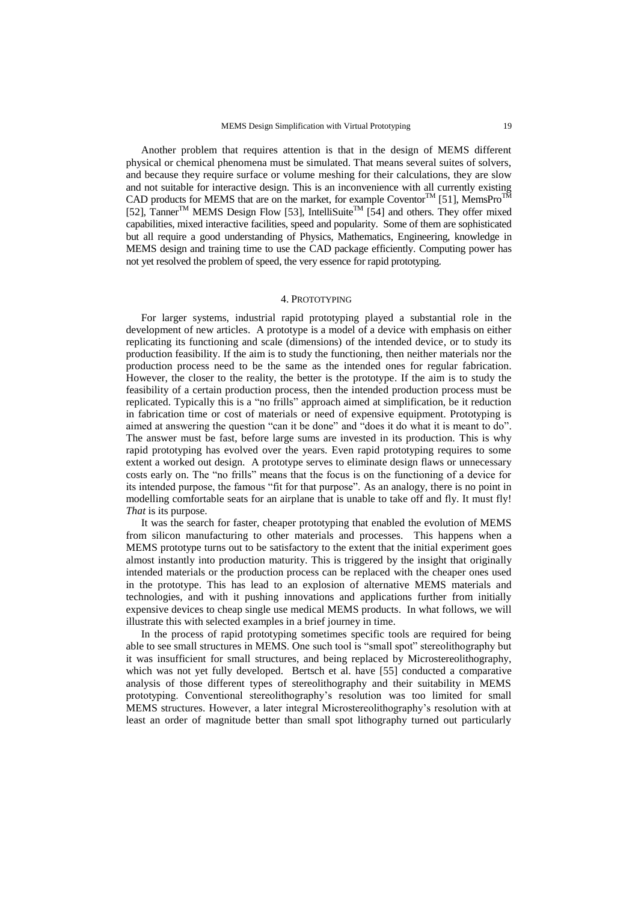Another problem that requires attention is that in the design of MEMS different physical or chemical phenomena must be simulated. That means several suites of solvers, and because they require surface or volume meshing for their calculations, they are slow and not suitable for interactive design. This is an inconvenience with all currently existing CAD products for MEMS that are on the market, for example Coventor<sup>TM</sup> [51], MemsPro<sup>TM</sup> [52], Tanner<sup>TM</sup> MEMS Design Flow [53], IntelliSuite<sup>TM</sup> [54] and others. They offer mixed capabilities, mixed interactive facilities, speed and popularity. Some of them are sophisticated but all require a good understanding of Physics, Mathematics, Engineering, knowledge in MEMS design and training time to use the CAD package efficiently. Computing power has not yet resolved the problem of speed, the very essence for rapid prototyping.

## 4. PROTOTYPING

For larger systems, industrial rapid prototyping played a substantial role in the development of new articles. A prototype is a model of a device with emphasis on either replicating its functioning and scale (dimensions) of the intended device, or to study its production feasibility. If the aim is to study the functioning, then neither materials nor the production process need to be the same as the intended ones for regular fabrication. However, the closer to the reality, the better is the prototype. If the aim is to study the feasibility of a certain production process, then the intended production process must be replicated. Typically this is a "no frills" approach aimed at simplification, be it reduction in fabrication time or cost of materials or need of expensive equipment. Prototyping is aimed at answering the question "can it be done" and "does it do what it is meant to do". The answer must be fast, before large sums are invested in its production. This is why rapid prototyping has evolved over the years. Even rapid prototyping requires to some extent a worked out design. A prototype serves to eliminate design flaws or unnecessary costs early on. The "no frills" means that the focus is on the functioning of a device for its intended purpose, the famous "fit for that purpose". As an analogy, there is no point in modelling comfortable seats for an airplane that is unable to take off and fly. It must fly! *That* is its purpose.

It was the search for faster, cheaper prototyping that enabled the evolution of MEMS from silicon manufacturing to other materials and processes. This happens when a MEMS prototype turns out to be satisfactory to the extent that the initial experiment goes almost instantly into production maturity. This is triggered by the insight that originally intended materials or the production process can be replaced with the cheaper ones used in the prototype. This has lead to an explosion of alternative MEMS materials and technologies, and with it pushing innovations and applications further from initially expensive devices to cheap single use medical MEMS products. In what follows, we will illustrate this with selected examples in a brief journey in time.

In the process of rapid prototyping sometimes specific tools are required for being able to see small structures in MEMS. One such tool is "small spot" stereolithography but it was insufficient for small structures, and being replaced by Microstereolithography, which was not yet fully developed. Bertsch et al. have [55] conducted a comparative analysis of those different types of stereolithography and their suitability in MEMS prototyping. Conventional stereolithography's resolution was too limited for small MEMS structures. However, a later integral Microstereolithography's resolution with at least an order of magnitude better than small spot lithography turned out particularly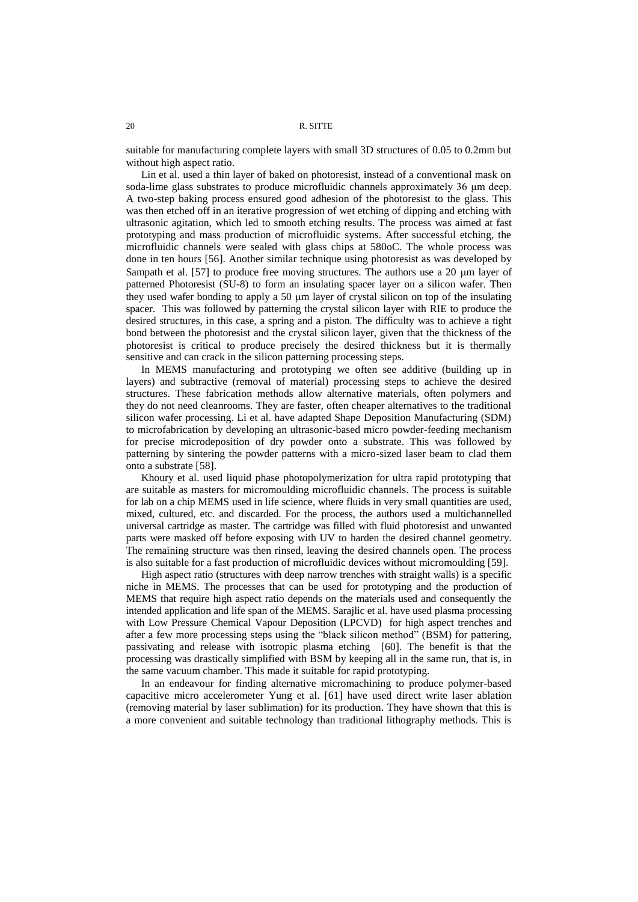suitable for manufacturing complete layers with small 3D structures of 0.05 to 0.2mm but without high aspect ratio.

Lin et al. used a thin layer of baked on photoresist, instead of a conventional mask on soda-lime glass substrates to produce microfluidic channels approximately 36 μm deep. A two-step baking process ensured good adhesion of the photoresist to the glass. This was then etched off in an iterative progression of wet etching of dipping and etching with ultrasonic agitation, which led to smooth etching results. The process was aimed at fast prototyping and mass production of microfluidic systems. After successful etching, the microfluidic channels were sealed with glass chips at 580oC. The whole process was done in ten hours [56]. Another similar technique using photoresist as was developed by Sampath et al. [57] to produce free moving structures. The authors use a  $20 \mu m$  layer of patterned Photoresist (SU-8) to form an insulating spacer layer on a silicon wafer. Then they used wafer bonding to apply a 50  $\mu$ m layer of crystal silicon on top of the insulating spacer. This was followed by patterning the crystal silicon layer with RIE to produce the desired structures, in this case, a spring and a piston. The difficulty was to achieve a tight bond between the photoresist and the crystal silicon layer, given that the thickness of the photoresist is critical to produce precisely the desired thickness but it is thermally sensitive and can crack in the silicon patterning processing steps.

In MEMS manufacturing and prototyping we often see additive (building up in layers) and subtractive (removal of material) processing steps to achieve the desired structures. These fabrication methods allow alternative materials, often polymers and they do not need cleanrooms. They are faster, often cheaper alternatives to the traditional silicon wafer processing. Li et al. have adapted Shape Deposition Manufacturing (SDM) to microfabrication by developing an ultrasonic-based micro powder-feeding mechanism for precise microdeposition of dry powder onto a substrate. This was followed by patterning by sintering the powder patterns with a micro-sized laser beam to clad them onto a substrate [58].

Khoury et al. used liquid phase photopolymerization for ultra rapid prototyping that are suitable as masters for micromoulding microfluidic channels. The process is suitable for lab on a chip MEMS used in life science, where fluids in very small quantities are used, mixed, cultured, etc. and discarded. For the process, the authors used a multichannelled universal cartridge as master. The cartridge was filled with fluid photoresist and unwanted parts were masked off before exposing with UV to harden the desired channel geometry. The remaining structure was then rinsed, leaving the desired channels open. The process is also suitable for a fast production of microfluidic devices without micromoulding [59].

High aspect ratio (structures with deep narrow trenches with straight walls) is a specific niche in MEMS. The processes that can be used for prototyping and the production of MEMS that require high aspect ratio depends on the materials used and consequently the intended application and life span of the MEMS. Sarajlic et al. have used plasma processing with Low Pressure Chemical Vapour Deposition (LPCVD) for high aspect trenches and after a few more processing steps using the "black silicon method" (BSM) for pattering, passivating and release with isotropic plasma etching [60]. The benefit is that the processing was drastically simplified with BSM by keeping all in the same run, that is, in the same vacuum chamber. This made it suitable for rapid prototyping.

In an endeavour for finding alternative micromachining to produce polymer-based capacitive micro accelerometer Yung et al. [61] have used direct write laser ablation (removing material by laser sublimation) for its production. They have shown that this is a more convenient and suitable technology than traditional lithography methods. This is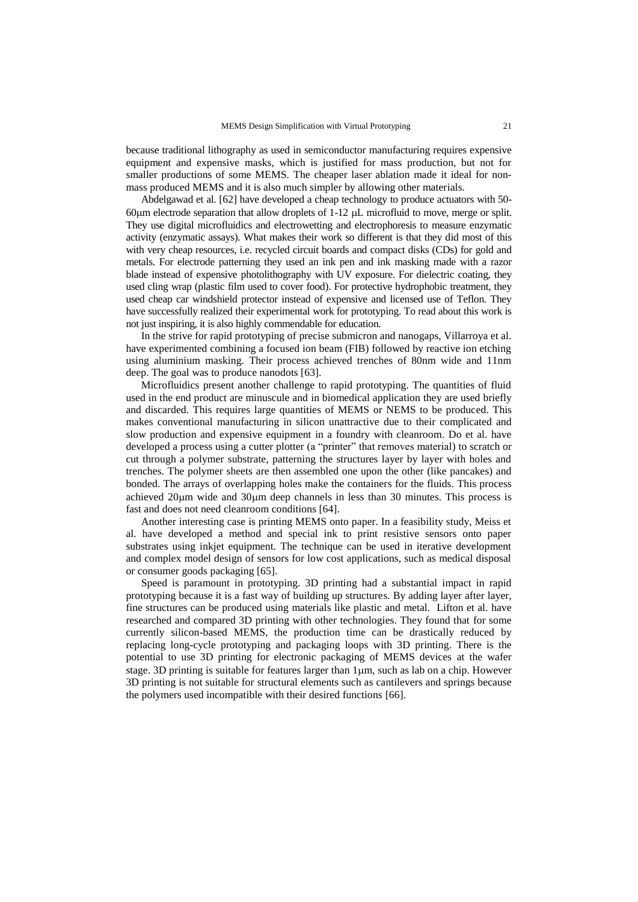because traditional lithography as used in semiconductor manufacturing requires expensive equipment and expensive masks, which is justified for mass production, but not for smaller productions of some MEMS. The cheaper laser ablation made it ideal for nonmass produced MEMS and it is also much simpler by allowing other materials.

Abdelgawad et al. [62] have developed a cheap technology to produce actuators with 50- 60 $\mu$ m electrode separation that allow droplets of 1-12  $\mu$ L microfluid to move, merge or split. They use digital microfluidics and electrowetting and electrophoresis to measure enzymatic activity (enzymatic assays). What makes their work so different is that they did most of this with very cheap resources, i.e. recycled circuit boards and compact disks (CDs) for gold and metals. For electrode patterning they used an ink pen and ink masking made with a razor blade instead of expensive photolithography with UV exposure. For dielectric coating, they used cling wrap (plastic film used to cover food). For protective hydrophobic treatment, they used cheap car windshield protector instead of expensive and licensed use of Teflon. They have successfully realized their experimental work for prototyping. To read about this work is not just inspiring, it is also highly commendable for education.

In the strive for rapid prototyping of precise submicron and nanogaps, Villarroya et al. have experimented combining a focused ion beam (FIB) followed by reactive ion etching using aluminium masking. Their process achieved trenches of 80nm wide and 11nm deep. The goal was to produce nanodots [63].

Microfluidics present another challenge to rapid prototyping. The quantities of fluid used in the end product are minuscule and in biomedical application they are used briefly and discarded. This requires large quantities of MEMS or NEMS to be produced. This makes conventional manufacturing in silicon unattractive due to their complicated and slow production and expensive equipment in a foundry with cleanroom. Do et al. have developed a process using a cutter plotter (a "printer" that removes material) to scratch or cut through a polymer substrate, patterning the structures layer by layer with holes and trenches. The polymer sheets are then assembled one upon the other (like pancakes) and bonded. The arrays of overlapping holes make the containers for the fluids. This process achieved  $20\mu$ m wide and  $30\mu$ m deep channels in less than 30 minutes. This process is fast and does not need cleanroom conditions [64].

Another interesting case is printing MEMS onto paper. In a feasibility study, Meiss et al. have developed a method and special ink to print resistive sensors onto paper substrates using inkjet equipment. The technique can be used in iterative development and complex model design of sensors for low cost applications, such as medical disposal or consumer goods packaging [65].

Speed is paramount in prototyping. 3D printing had a substantial impact in rapid prototyping because it is a fast way of building up structures. By adding layer after layer, fine structures can be produced using materials like plastic and metal. Lifton et al. have researched and compared 3D printing with other technologies. They found that for some currently silicon-based MEMS, the production time can be drastically reduced by replacing long-cycle prototyping and packaging loops with 3D printing. There is the potential to use 3D printing for electronic packaging of MEMS devices at the wafer stage. 3D printing is suitable for features larger than  $1\mu$ m, such as lab on a chip. However 3D printing is not suitable for structural elements such as cantilevers and springs because the polymers used incompatible with their desired functions [66].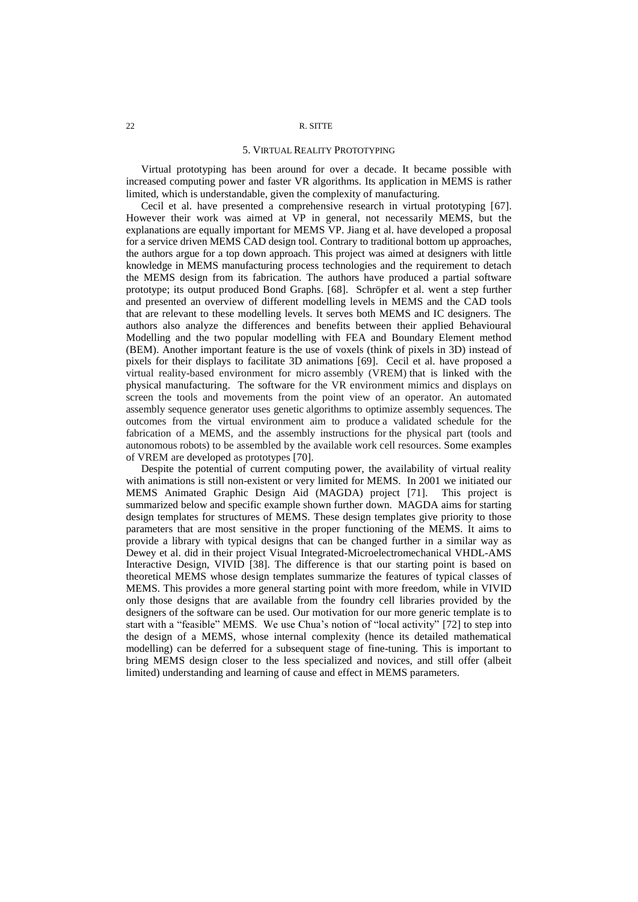#### 5. VIRTUAL REALITY PROTOTYPING

Virtual prototyping has been around for over a decade. It became possible with increased computing power and faster VR algorithms. Its application in MEMS is rather limited, which is understandable, given the complexity of manufacturing.

Cecil et al. have presented a comprehensive research in virtual prototyping [67]. However their work was aimed at VP in general, not necessarily MEMS, but the explanations are equally important for MEMS VP. Jiang et al. have developed a proposal for a service driven MEMS CAD design tool. Contrary to traditional bottom up approaches, the authors argue for a top down approach. This project was aimed at designers with little knowledge in MEMS manufacturing process technologies and the requirement to detach the MEMS design from its fabrication. The authors have produced a partial software prototype; its output produced Bond Graphs. [68]. Schröpfer et al. went a step further and presented an overview of different modelling levels in MEMS and the CAD tools that are relevant to these modelling levels. It serves both MEMS and IC designers. The authors also analyze the differences and benefits between their applied Behavioural Modelling and the two popular modelling with FEA and Boundary Element method (BEM). Another important feature is the use of voxels (think of pixels in 3D) instead of pixels for their displays to facilitate 3D animations [69]. Cecil et al. have proposed a virtual reality-based environment for micro assembly (VREM) that is linked with the physical manufacturing. The software for the VR environment mimics and displays on screen the tools and movements from the point view of an operator. An automated assembly sequence generator uses genetic algorithms to optimize assembly sequences. The outcomes from the virtual environment aim to produce a validated schedule for the fabrication of a MEMS, and the assembly instructions for the physical part (tools and autonomous robots) to be assembled by the available work cell resources. Some examples of VREM are developed as prototypes [70].

<span id="page-11-0"></span>Despite the potential of current computing power, the availability of virtual reality with animations is still non-existent or very limited for MEMS. In 2001 we initiated our MEMS Animated Graphic Design Aid (MAGDA) project [71]. This project is summarized below and specific example shown further down. MAGDA aims for starting design templates for structures of MEMS. These design templates give priority to those parameters that are most sensitive in the proper functioning of the MEMS. It aims to provide a library with typical designs that can be changed further in a similar way as Dewey et al. did in their project Visual Integrated-Microelectromechanical VHDL-AMS Interactive Design, VIVID [\[38\]](#page-7-0). The difference is that our starting point is based on theoretical MEMS whose design templates summarize the features of typical classes of MEMS. This provides a more general starting point with more freedom, while in VIVID only those designs that are available from the foundry cell libraries provided by the designers of the software can be used. Our motivation for our more generic template is to start with a "feasible" MEMS. We use Chua's notion of "local activity" [72] to step into the design of a MEMS, whose internal complexity (hence its detailed mathematical modelling) can be deferred for a subsequent stage of fine-tuning. This is important to bring MEMS design closer to the less specialized and novices, and still offer (albeit limited) understanding and learning of cause and effect in MEMS parameters.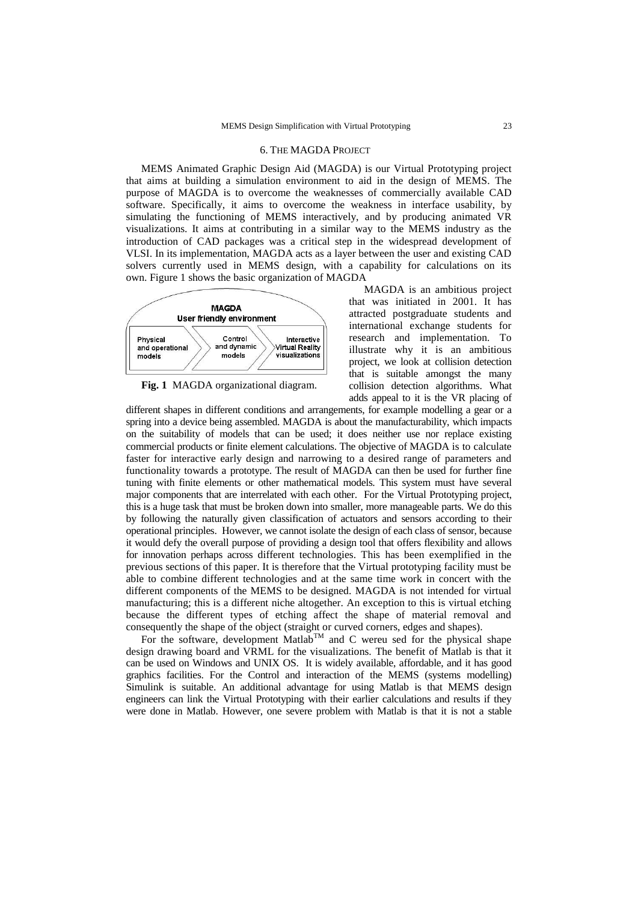### 6. THE MAGDA PROJECT

MEMS Animated Graphic Design Aid (MAGDA) is our Virtual Prototyping project that aims at building a simulation environment to aid in the design of MEMS. The purpose of MAGDA is to overcome the weaknesses of commercially available CAD software. Specifically, it aims to overcome the weakness in interface usability, by simulating the functioning of MEMS interactively, and by producing animated VR visualizations. It aims at contributing in a similar way to the MEMS industry as the introduction of CAD packages was a critical step in the widespread development of VLSI. In its implementation, MAGDA acts as a layer between the user and existing CAD solvers currently used in MEMS design, with a capability for calculations on its own. Figure 1 shows the basic organization of MAGDA



**Fig. 1** MAGDA organizational diagram.

MAGDA is an ambitious project that was initiated in 2001. It has attracted postgraduate students and international exchange students for research and implementation. To illustrate why it is an ambitious project, we look at collision detection that is suitable amongst the many collision detection algorithms. What adds appeal to it is the VR placing of

different shapes in different conditions and arrangements, for example modelling a gear or a spring into a device being assembled. MAGDA is about the manufacturability, which impacts on the suitability of models that can be used; it does neither use nor replace existing commercial products or finite element calculations. The objective of MAGDA is to calculate faster for interactive early design and narrowing to a desired range of parameters and functionality towards a prototype. The result of MAGDA can then be used for further fine tuning with finite elements or other mathematical models. This system must have several major components that are interrelated with each other. For the Virtual Prototyping project, this is a huge task that must be broken down into smaller, more manageable parts. We do this by following the naturally given classification of actuators and sensors according to their operational principles. However, we cannot isolate the design of each class of sensor, because it would defy the overall purpose of providing a design tool that offers flexibility and allows for innovation perhaps across different technologies. This has been exemplified in the previous sections of this paper. It is therefore that the Virtual prototyping facility must be able to combine different technologies and at the same time work in concert with the different components of the MEMS to be designed. MAGDA is not intended for virtual manufacturing; this is a different niche altogether. An exception to this is virtual etching because the different types of etching affect the shape of material removal and consequently the shape of the object (straight or curved corners, edges and shapes).

For the software, development Matlab<sup>TM</sup> and C wereu sed for the physical shape design drawing board and VRML for the visualizations. The benefit of Matlab is that it can be used on Windows and UNIX OS. It is widely available, affordable, and it has good graphics facilities. For the Control and interaction of the MEMS (systems modelling) Simulink is suitable. An additional advantage for using Matlab is that MEMS design engineers can link the Virtual Prototyping with their earlier calculations and results if they were done in Matlab. However, one severe problem with Matlab is that it is not a stable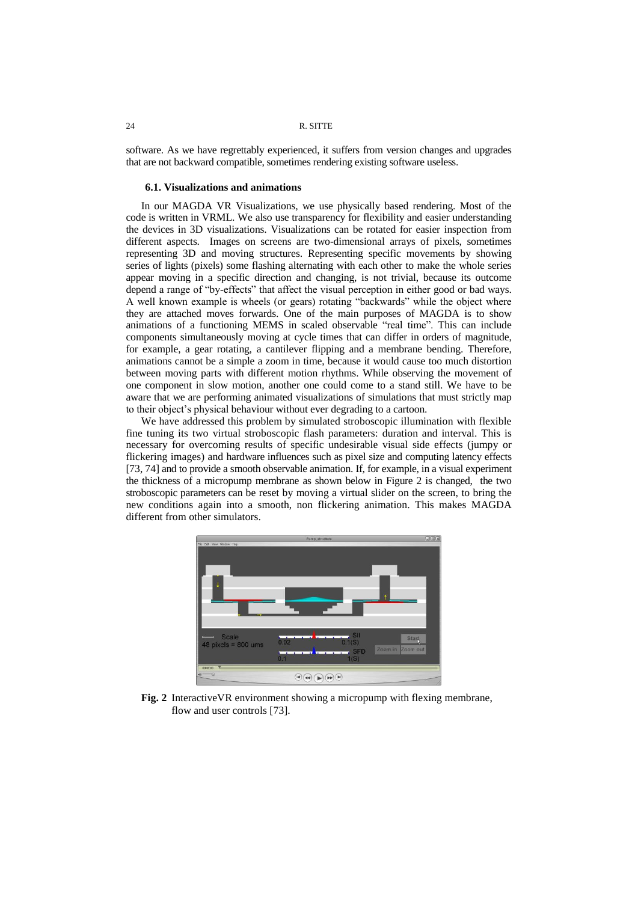software. As we have regrettably experienced, it suffers from version changes and upgrades that are not backward compatible, sometimes rendering existing software useless.

## **6.1. Visualizations and animations**

In our MAGDA VR Visualizations, we use physically based rendering. Most of the code is written in VRML. We also use transparency for flexibility and easier understanding the devices in 3D visualizations. Visualizations can be rotated for easier inspection from different aspects. Images on screens are two-dimensional arrays of pixels, sometimes representing 3D and moving structures. Representing specific movements by showing series of lights (pixels) some flashing alternating with each other to make the whole series appear moving in a specific direction and changing, is not trivial, because its outcome depend a range of "by-effects" that affect the visual perception in either good or bad ways. A well known example is wheels (or gears) rotating "backwards" while the object where they are attached moves forwards. One of the main purposes of MAGDA is to show animations of a functioning MEMS in scaled observable "real time". This can include components simultaneously moving at cycle times that can differ in orders of magnitude, for example, a gear rotating, a cantilever flipping and a membrane bending. Therefore, animations cannot be a simple a zoom in time, because it would cause too much distortion between moving parts with different motion rhythms. While observing the movement of one component in slow motion, another one could come to a stand still. We have to be aware that we are performing animated visualizations of simulations that must strictly map to their object's physical behaviour without ever degrading to a cartoon.

<span id="page-13-0"></span>We have addressed this problem by simulated stroboscopic illumination with flexible fine tuning its two virtual stroboscopic flash parameters: duration and interval. This is necessary for overcoming results of specific undesirable visual side effects (jumpy or flickering images) and hardware influences such as pixel size and computing latency effects [73, 74] and to provide a smooth observable animation. If, for example, in a visual experiment the thickness of a micropump membrane as shown below in Figure 2 is changed, the two stroboscopic parameters can be reset by moving a virtual slider on the screen, to bring the new conditions again into a smooth, non flickering animation. This makes MAGDA different from other simulators.



**Fig. 2** InteractiveVR environment showing a micropump with flexing membrane, flow and user controls [\[73\]](#page-13-0).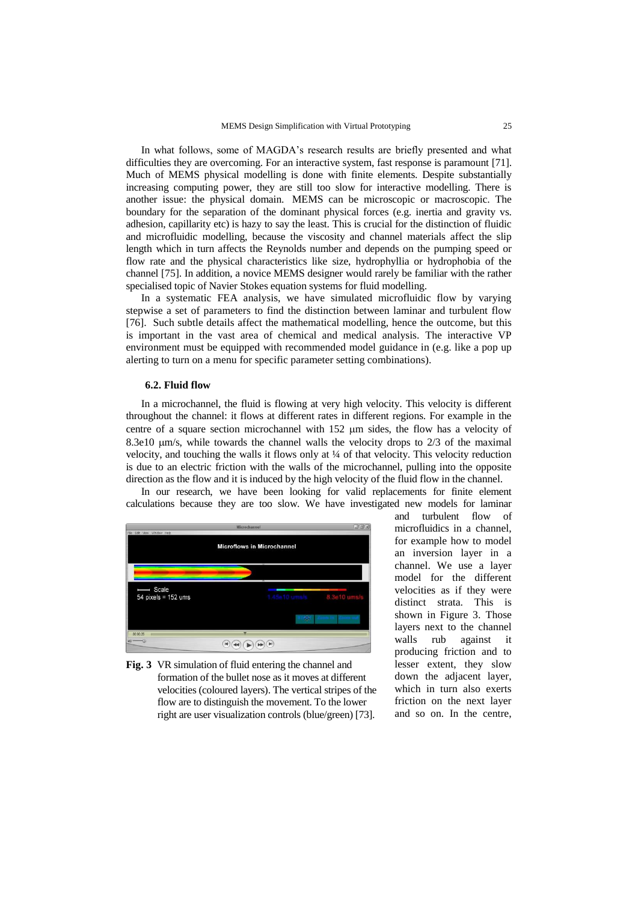In what follows, some of MAGDA's research results are briefly presented and what difficulties they are overcoming. For an interactive system, fast response is paramount [\[71\]](#page-11-0). Much of MEMS physical modelling is done with finite elements. Despite substantially increasing computing power, they are still too slow for interactive modelling. There is another issue: the physical domain. MEMS can be microscopic or macroscopic. The boundary for the separation of the dominant physical forces (e.g. inertia and gravity vs. adhesion, capillarity etc) is hazy to say the least. This is crucial for the distinction of fluidic and microfluidic modelling, because the viscosity and channel materials affect the slip length which in turn affects the Reynolds number and depends on the pumping speed or flow rate and the physical characteristics like size, hydrophyllia or hydrophobia of the channel [75]. In addition, a novice MEMS designer would rarely be familiar with the rather specialised topic of Navier Stokes equation systems for fluid modelling.

In a systematic FEA analysis, we have simulated microfluidic flow by varying stepwise a set of parameters to find the distinction between laminar and turbulent flow [76]. Such subtle details affect the mathematical modelling, hence the outcome, but this is important in the vast area of chemical and medical analysis. The interactive VP environment must be equipped with recommended model guidance in (e.g. like a pop up alerting to turn on a menu for specific parameter setting combinations).

#### **6.2. Fluid flow**

In a microchannel, the fluid is flowing at very high velocity. This velocity is different throughout the channel: it flows at different rates in different regions. For example in the centre of a square section microchannel with  $152 \mu m$  sides, the flow has a velocity of 8.3e10 m/s, while towards the channel walls the velocity drops to 2/3 of the maximal velocity, and touching the walls it flows only at ¼ of that velocity. This velocity reduction is due to an electric friction with the walls of the microchannel, pulling into the opposite direction as the flow and it is induced by the high velocity of the fluid flow in the channel.

In our research, we have been looking for valid replacements for finite element calculations because they are too slow. We have investigated new models for laminar





and turbulent flow of microfluidics in a channel, for example how to model an inversion layer in a channel. We use a layer model for the different velocities as if they were distinct strata. This is shown in Figure 3. Those layers next to the channel walls rub against it producing friction and to lesser extent, they slow down the adjacent layer, which in turn also exerts friction on the next layer and so on. In the centre,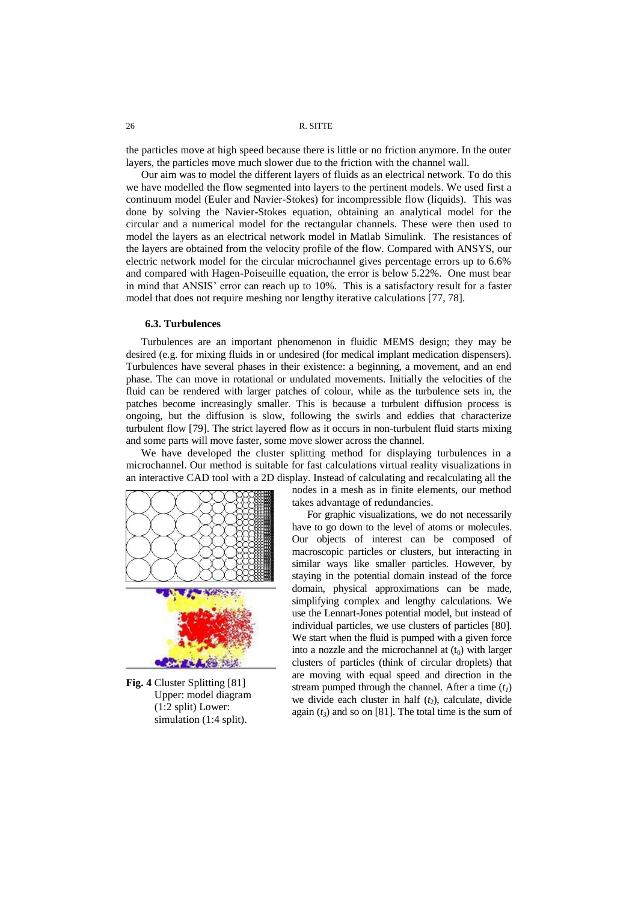the particles move at high speed because there is little or no friction anymore. In the outer layers, the particles move much slower due to the friction with the channel wall.

Our aim was to model the different layers of fluids as an electrical network. To do this we have modelled the flow segmented into layers to the pertinent models. We used first a continuum model (Euler and Navier-Stokes) for incompressible flow (liquids). This was done by solving the Navier-Stokes equation, obtaining an analytical model for the circular and a numerical model for the rectangular channels. These were then used to model the layers as an electrical network model in Matlab Simulink. The resistances of the layers are obtained from the velocity profile of the flow. Compared with ANSYS, our electric network model for the circular microchannel gives percentage errors up to 6.6% and compared with Hagen-Poiseuille equation, the error is below 5.22%. One must bear in mind that ANSIS' error can reach up to 10%. This is a satisfactory result for a faster model that does not require meshing nor lengthy iterative calculations [77, 78].

## **6.3. Turbulences**

Turbulences are an important phenomenon in fluidic MEMS design; they may be desired (e.g. for mixing fluids in or undesired (for medical implant medication dispensers). Turbulences have several phases in their existence: a beginning, a movement, and an end phase. The can move in rotational or undulated movements. Initially the velocities of the fluid can be rendered with larger patches of colour, while as the turbulence sets in, the patches become increasingly smaller. This is because a turbulent diffusion process is ongoing, but the diffusion is slow, following the swirls and eddies that characterize turbulent flow [79]. The strict layered flow as it occurs in non-turbulent fluid starts mixing and some parts will move faster, some move slower across the channel.

We have developed the cluster splitting method for displaying turbulences in a microchannel. Our method is suitable for fast calculations virtual reality visualizations in an interactive CAD tool with a 2D display. Instead of calculating and recalculating all the



**Fig. 4** Cluster Splitting [\[81\]](#page-15-0) Upper: model diagram (1:2 split) Lower: simulation (1:4 split).

nodes in a mesh as in finite elements, our method takes advantage of redundancies.

<span id="page-15-0"></span>For graphic visualizations, we do not necessarily have to go down to the level of atoms or molecules. Our objects of interest can be composed of macroscopic particles or clusters, but interacting in similar ways like smaller particles. However, by staying in the potential domain instead of the force domain, physical approximations can be made, simplifying complex and lengthy calculations. We use the Lennart-Jones potential model, but instead of individual particles, we use clusters of particles [80]. We start when the fluid is pumped with a given force into a nozzle and the microchannel at  $(t_0)$  with larger clusters of particles (think of circular droplets) that are moving with equal speed and direction in the stream pumped through the channel. After a time  $(t<sub>l</sub>)$ we divide each cluster in half  $(t_2)$ , calculate, divide again  $(t_3)$  and so on [81]. The total time is the sum of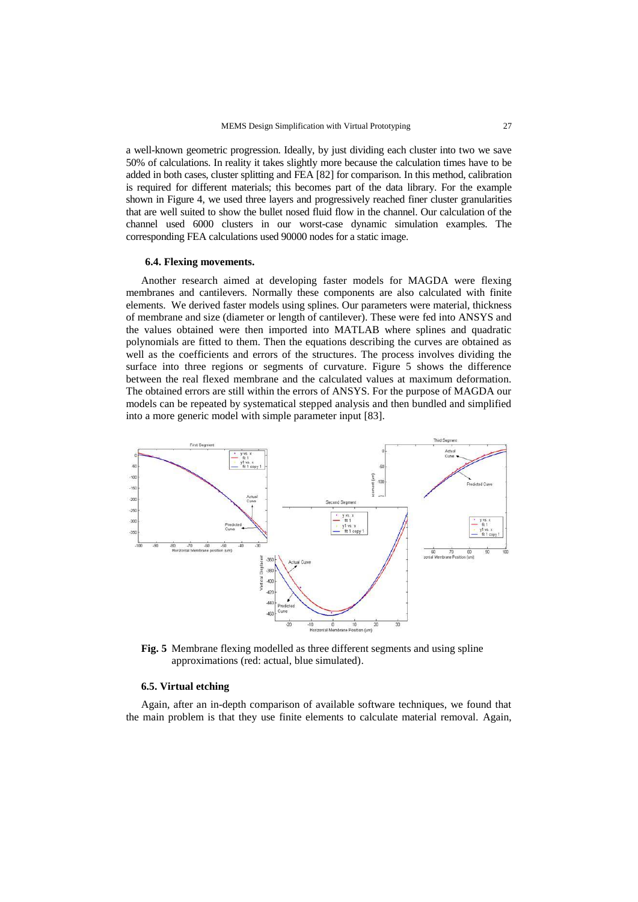a well-known geometric progression. Ideally, by just dividing each cluster into two we save 50% of calculations. In reality it takes slightly more because the calculation times have to be added in both cases, cluster splitting and FEA [82] for comparison. In this method, calibration is required for different materials; this becomes part of the data library. For the example shown in Figure 4, we used three layers and progressively reached finer cluster granularities that are well suited to show the bullet nosed fluid flow in the channel. Our calculation of the channel used 6000 clusters in our worst-case dynamic simulation examples. The corresponding FEA calculations used 90000 nodes for a static image.

## **6.4. Flexing movements.**

Another research aimed at developing faster models for MAGDA were flexing membranes and cantilevers. Normally these components are also calculated with finite elements. We derived faster models using splines. Our parameters were material, thickness of membrane and size (diameter or length of cantilever). These were fed into ANSYS and the values obtained were then imported into MATLAB where splines and quadratic polynomials are fitted to them. Then the equations describing the curves are obtained as well as the coefficients and errors of the structures. The process involves dividing the surface into three regions or segments of curvature. Figure 5 shows the difference between the real flexed membrane and the calculated values at maximum deformation. The obtained errors are still within the errors of ANSYS. For the purpose of MAGDA our models can be repeated by systematical stepped analysis and then bundled and simplified into a more generic model with simple parameter input [83].



**Fig. 5** Membrane flexing modelled as three different segments and using spline approximations (red: actual, blue simulated).

## **6.5. Virtual etching**

Again, after an in-depth comparison of available software techniques, we found that the main problem is that they use finite elements to calculate material removal. Again,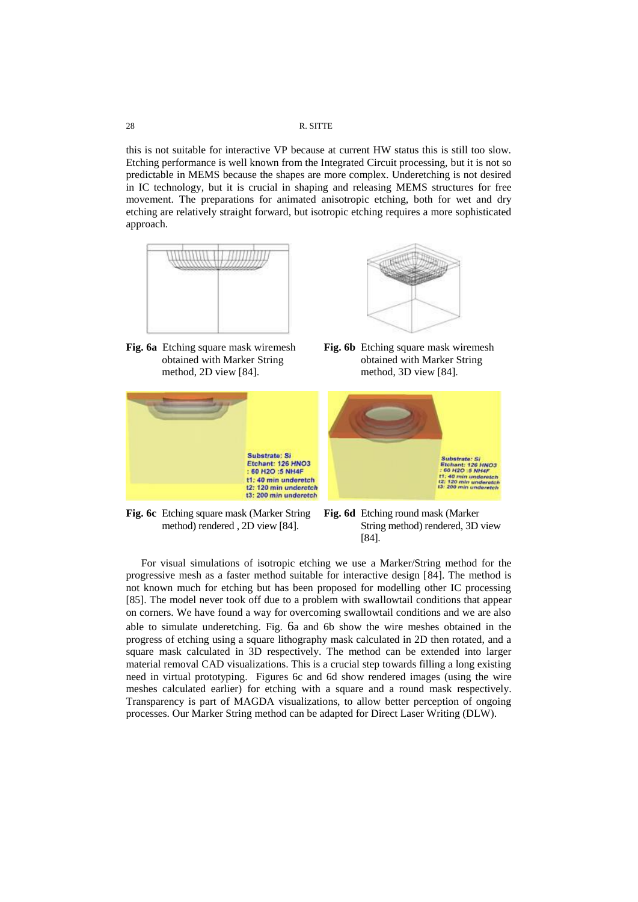this is not suitable for interactive VP because at current HW status this is still too slow. Etching performance is well known from the Integrated Circuit processing, but it is not so predictable in MEMS because the shapes are more complex. Underetching is not desired in IC technology, but it is crucial in shaping and releasing MEMS structures for free movement. The preparations for animated anisotropic etching, both for wet and dry etching are relatively straight forward, but isotropic etching requires a more sophisticated approach.



<span id="page-17-1"></span>**Fig. 6a** Etching square mask wiremesh obtained with Marker String method, 2D view [\[84\]](#page-17-0).





**Fig. 6b** Etching square mask wiremesh obtained with Marker String method, 3D view [\[84\]](#page-17-0).



**Fig. 6c** Etching square mask (Marker String method) rendered , 2D view [\[84\]](#page-17-0).

<span id="page-17-0"></span>**Fig. 6d** Etching round mask (Marker String method) rendered, 3D view [\[84\]](#page-17-0).

For visual simulations of isotropic etching we use a Marker/String method for the progressive mesh as a faster method suitable for interactive design [84]. The method is not known much for etching but has been proposed for modelling other IC processing [85]. The model never took off due to a problem with swallowtail conditions that appear on corners. We have found a way for overcoming swallowtail conditions and we are also able to simulate underetching. [Fig.](#page-17-1) 6a and 6b show the wire meshes obtained in the progress of etching using a square lithography mask calculated in 2D then rotated, and a square mask calculated in 3D respectively. The method can be extended into larger material removal CAD visualizations. This is a crucial step towards filling a long existing need in virtual prototyping. Figures 6c and 6d show rendered images (using the wire meshes calculated earlier) for etching with a square and a round mask respectively. Transparency is part of MAGDA visualizations, to allow better perception of ongoing processes. Our Marker String method can be adapted for Direct Laser Writing (DLW).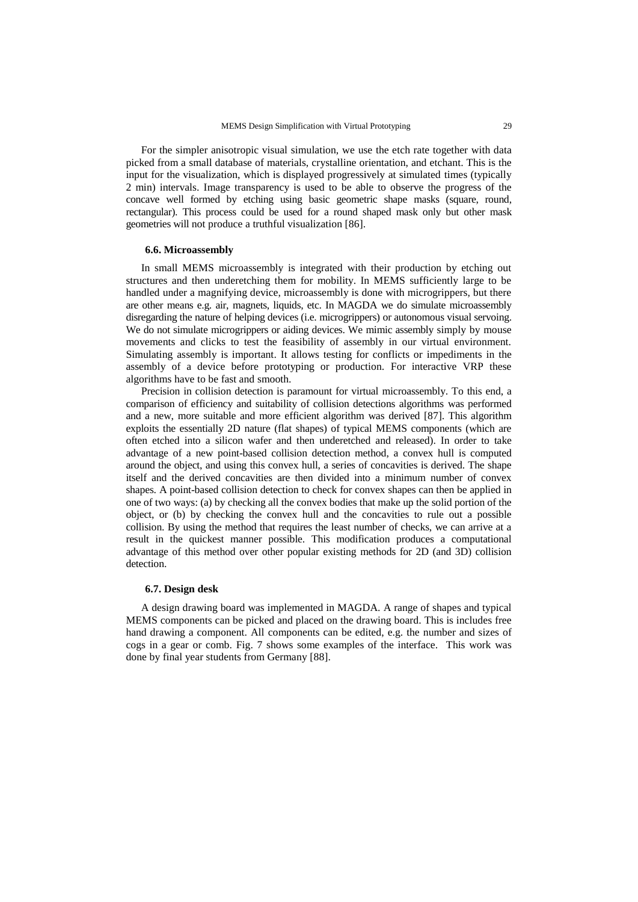For the simpler anisotropic visual simulation, we use the etch rate together with data picked from a small database of materials, crystalline orientation, and etchant. This is the input for the visualization, which is displayed progressively at simulated times (typically 2 min) intervals. Image transparency is used to be able to observe the progress of the concave well formed by etching using basic geometric shape masks (square, round, rectangular). This process could be used for a round shaped mask only but other mask geometries will not produce a truthful visualization [86].

#### **6.6. Microassembly**

In small MEMS microassembly is integrated with their production by etching out structures and then underetching them for mobility. In MEMS sufficiently large to be handled under a magnifying device, microassembly is done with microgrippers, but there are other means e.g. air, magnets, liquids, etc. In MAGDA we do simulate microassembly disregarding the nature of helping devices (i.e. microgrippers) or autonomous visual servoing. We do not simulate microgrippers or aiding devices. We mimic assembly simply by mouse movements and clicks to test the feasibility of assembly in our virtual environment. Simulating assembly is important. It allows testing for conflicts or impediments in the assembly of a device before prototyping or production. For interactive VRP these algorithms have to be fast and smooth.

Precision in collision detection is paramount for virtual microassembly. To this end, a comparison of efficiency and suitability of collision detections algorithms was performed and a new, more suitable and more efficient algorithm was derived [87]. This algorithm exploits the essentially 2D nature (flat shapes) of typical MEMS components (which are often etched into a silicon wafer and then underetched and released). In order to take advantage of a new point-based collision detection method, a convex hull is computed around the object, and using this convex hull, a series of concavities is derived. The shape itself and the derived concavities are then divided into a minimum number of convex shapes. A point-based collision detection to check for convex shapes can then be applied in one of two ways: (a) by checking all the convex bodies that make up the solid portion of the object, or (b) by checking the convex hull and the concavities to rule out a possible collision. By using the method that requires the least number of checks, we can arrive at a result in the quickest manner possible. This modification produces a computational advantage of this method over other popular existing methods for 2D (and 3D) collision detection.

## <span id="page-18-0"></span>**6.7. Design desk**

A design drawing board was implemented in MAGDA. A range of shapes and typical MEMS components can be picked and placed on the drawing board. This is includes free hand drawing a component. All components can be edited, e.g. the number and sizes of cogs in a gear or comb. [Fig.](#page-19-0) 7 shows some examples of the interface. This work was done by final year students from Germany [88].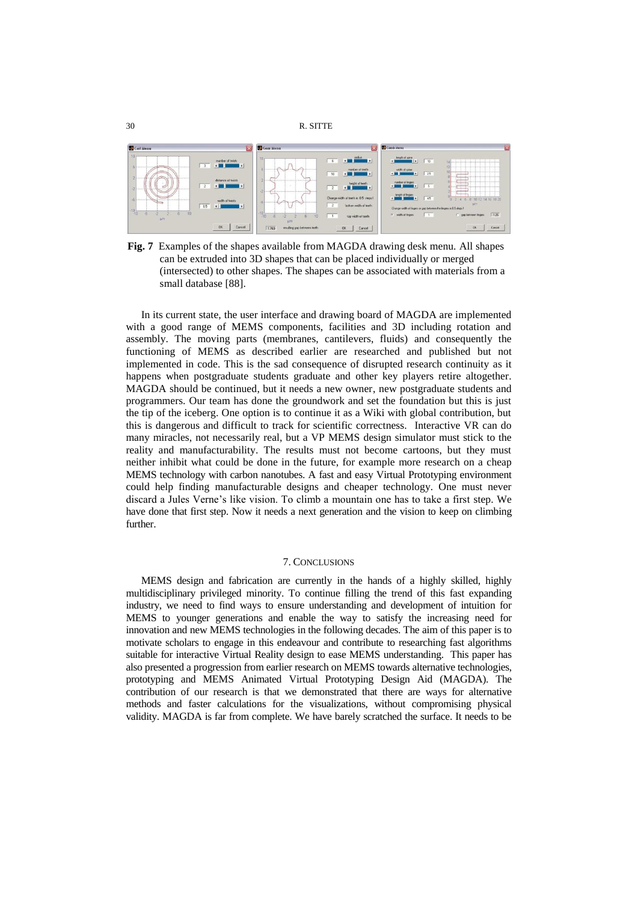

<span id="page-19-0"></span>**Fig. 7** Examples of the shapes available from MAGDA drawing desk menu. All shapes can be extruded into 3D shapes that can be placed individually or merged (intersected) to other shapes. The shapes can be associated with materials from a small database [\[88\]](#page-18-0).

In its current state, the user interface and drawing board of MAGDA are implemented with a good range of MEMS components, facilities and 3D including rotation and assembly. The moving parts (membranes, cantilevers, fluids) and consequently the functioning of MEMS as described earlier are researched and published but not implemented in code. This is the sad consequence of disrupted research continuity as it happens when postgraduate students graduate and other key players retire altogether. MAGDA should be continued, but it needs a new owner, new postgraduate students and programmers. Our team has done the groundwork and set the foundation but this is just the tip of the iceberg. One option is to continue it as a Wiki with global contribution, but this is dangerous and difficult to track for scientific correctness. Interactive VR can do many miracles, not necessarily real, but a VP MEMS design simulator must stick to the reality and manufacturability. The results must not become cartoons, but they must neither inhibit what could be done in the future, for example more research on a cheap MEMS technology with carbon nanotubes. A fast and easy Virtual Prototyping environment could help finding manufacturable designs and cheaper technology. One must never discard a Jules Verne's like vision. To climb a mountain one has to take a first step. We have done that first step. Now it needs a next generation and the vision to keep on climbing further.

## 7. CONCLUSIONS

MEMS design and fabrication are currently in the hands of a highly skilled, highly multidisciplinary privileged minority. To continue filling the trend of this fast expanding industry, we need to find ways to ensure understanding and development of intuition for MEMS to younger generations and enable the way to satisfy the increasing need for innovation and new MEMS technologies in the following decades. The aim of this paper is to motivate scholars to engage in this endeavour and contribute to researching fast algorithms suitable for interactive Virtual Reality design to ease MEMS understanding. This paper has also presented a progression from earlier research on MEMS towards alternative technologies, prototyping and MEMS Animated Virtual Prototyping Design Aid (MAGDA). The contribution of our research is that we demonstrated that there are ways for alternative methods and faster calculations for the visualizations, without compromising physical validity. MAGDA is far from complete. We have barely scratched the surface. It needs to be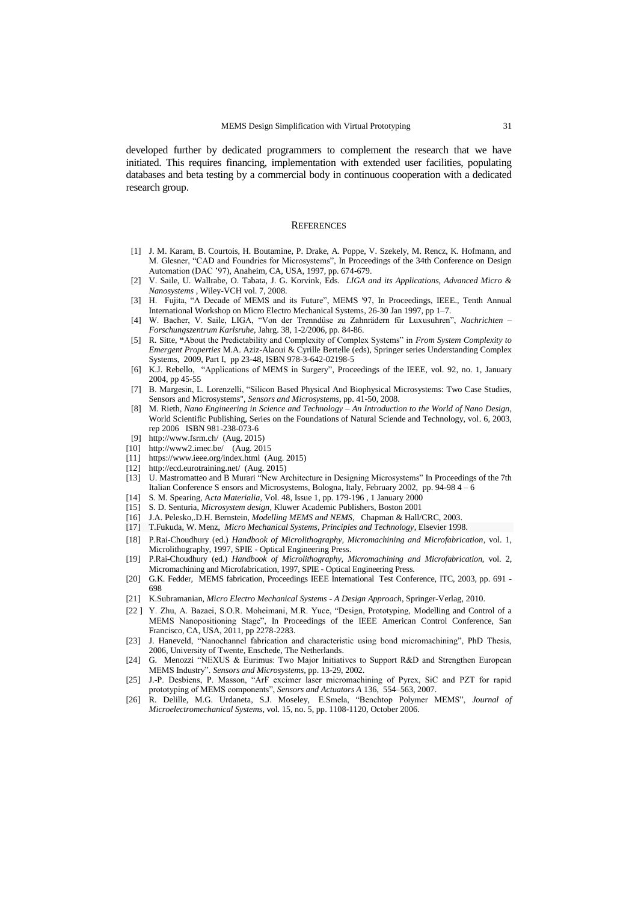developed further by dedicated programmers to complement the research that we have initiated. This requires financing, implementation with extended user facilities, populating databases and beta testing by a commercial body in continuous cooperation with a dedicated research group.

#### **REFERENCES**

- [1] J. M. Karam, B. Courtois, H. Boutamine, P. Drake, A. Poppe, V. Szekely, M. Rencz, K. Hofmann, and M. Glesner, "CAD and Foundries for Microsystems", In Proceedings of the 34th Conference on Design Automation (DAC '97), Anaheim, CA, USA, 1997, pp. 674-679.
- [2] V. Saile, U. Wallrabe, O. Tabata, J. G. Korvink, Eds. *LIGA and its Applications, Advanced Micro & Nanosystems* , Wiley-VCH vol. 7, 2008.
- [3] H. Fujita, "A Decade of MEMS and its Future", MEMS '97, In Proceedings, IEEE., Tenth Annual International Workshop on Micro Electro Mechanical Systems*,* 26-30 Jan 1997, pp 1–7.
- [4] W. Bacher, V. Saile, LIGA, "Von der Trenndüse zu Zahnrädern für Luxusuhren", *Nachrichten – Forschungszentrum Karlsruhe,* Jahrg. 38, 1-2/2006, pp. 84-86.
- [5] R. Sitte, **"**About the Predictability and Complexity of Complex Systems" in *From System Complexity to Emergent Properties* M.A. Aziz-Alaoui & Cyrille Bertelle (eds), Springer series Understanding Complex Systems, 2009, Part I, pp 23-48, ISBN 978-3-642-02198-5
- [6] K.J. Rebello, "Applications of MEMS in Surgery", Proceedings of the IEEE, vol. 92, no. 1, January 2004, pp 45-55
- [7] B. Margesin, L. Lorenzelli, "Silicon Based Physical And Biophysical Microsystems: Two Case Studies, Sensors and Microsystems", *Sensors and Microsystems*, pp. 41-50, 2008.
- [8] M. Rieth, *Nano Engineering in Science and Technology – An Introduction to the World of Nano Design*, World Scientific Publishing, Series on the Foundations of Natural Sciende and Technology, vol. 6, 2003, rep 2006 ISBN 981-238-073-6
- [9] <http://www.fsrm.ch/>(Aug. 2015)
- [10] <http://www2.imec.be/>(Aug. 2015
- [11] <https://www.ieee.org/index.html>(Aug. 2015)
- [12] <http://ecd.eurotraining.net/>(Aug. 2015)
- [13] U. Mastromatteo and B Murari "New Architecture in Designing Microsystems" In Proceedings of the 7th Italian Conference S ensors and Microsystems, Bologna, Italy*,* February 2002, pp. 94-98 4 – 6
- [14] S. M. Spearing, A*cta Materialia*, Vol. 48, Issue 1, pp. 179-196 , 1 January 2000
- [15] S. D. Senturia, *Microsystem design*, Kluwer Academic Publishers, Boston 2001
- [16] J.A. Pelesko,.D.H. Bernstein, *Modelling MEMS and NEMS*, Chapman & Hall/CRC, 2003.
- [17] T.Fukuda, W. Menz, *Micro Mechanical Systems, Principles and Technology*, Elsevier 1998.
- [18] P.Rai-Choudhury (ed.) *Handbook of Microlithography, Micromachining and Microfabrication*, vol. 1, Microlithography, 1997, SPIE - Optical Engineering Press.
- [19] P.Rai-Choudhury (ed.) *Handbook of Microlithography, Micromachining and Microfabrication*, vol. 2,
- Micromachining and Microfabrication, 1997, SPIE Optical Engineering Press. [20] G.K. Fedder, MEMS fabrication, Proceedings IEEE International Test Conference, ITC, 2003, pp. 691 - 698
- [21] K.Subramanian, *Micro Electro Mechanical Systems - A Design Approach*, Springer-Verlag, 2010.
- [22 ] Y. Zhu, A. Bazaei, S.O.R. Moheimani, M.R. Yuce, "Design, Prototyping, Modelling and Control of a MEMS Nanopositioning Stage", In Proceedings of the IEEE American Control Conference, San Francisco, CA, USA, 2011, pp 2278-2283.
- [23] J. Haneveld, "Nanochannel fabrication and characteristic using bond micromachining", PhD Thesis, 2006, University of Twente, Enschede, The Netherlands.
- [24] G. Menozzi "NEXUS & Eurimus: Two Major Initiatives to Support R&D and Strengthen European MEMS Industry". *Sensors and Microsystems,* pp. 13-29, 2002.
- [25] J.-P. Desbiens, P. Masson, "ArF excimer laser micromachining of Pyrex, SiC and PZT for rapid prototyping of MEMS components", *Sensors and Actuators A* 136, 554–563, 2007.
- [26] R. Delille, M.G. Urdaneta, S.J. Moseley, E.Smela, "Benchtop Polymer MEMS", *Journal of Microelectromechanical Systems*, vol. 15, no. 5, pp. 1108-1120, October 2006.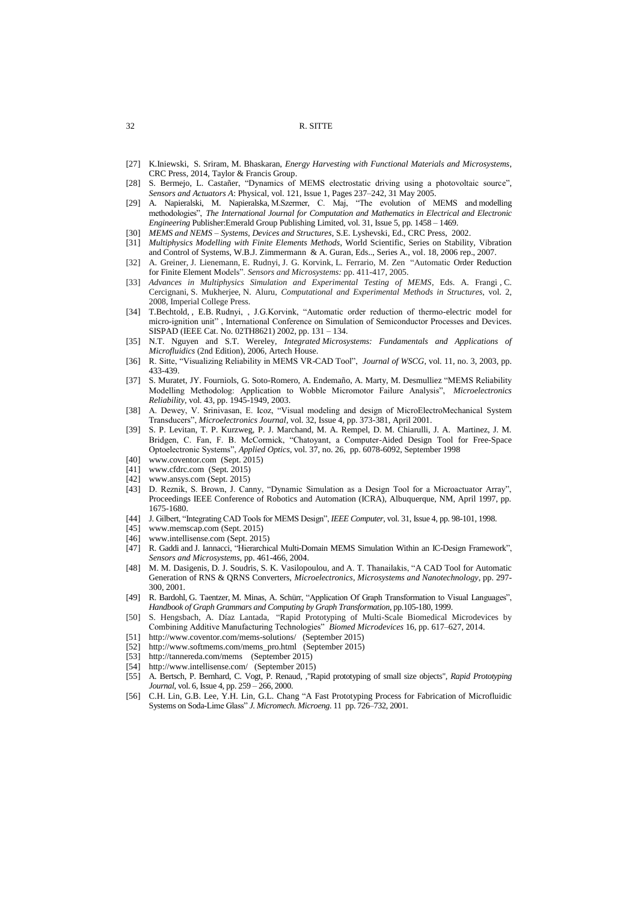- [27] K.Iniewski, S. Sriram, M. Bhaskaran, *[Energy Harvesting with Functional Materials and Microsystems](http://griffith.summon.serialssolutions.com/2.0.0/link/0/eLvHCXMwY2AwNtIz0EUrE1Iskw0sDdIskk2SzY1NLEEHoqaZpCQZJiUaAmFKIspIBg-iXHMTYmBKzRNlUHRzDXH20IUNZMRDxzbik4B9cGCNCexmiTGwAPvLqRIMCsA2QpJRKjCxphiYmKQlmyaap5iYpxpZpFoCK7_kVDNJBinc5gAAtZcxjg)*, CRC Press, 2014, Taylor & Francis Group.
- [28] [S. Bermejo,](http://www.sciencedirect.com/science/article/pii/S0924424705000749) [L. Castañer,](http://www.sciencedirect.com/science/article/pii/S0924424705000749) "Dynamics of MEMS electrostatic driving using a photovoltaic source", *Sensors and Actuators A*: Physical, vol. [121, Issue 1,](http://www.sciencedirect.com/science/journal/09244247/121/1) Pages 237–242, 31 May 2005.
- [29] A. Napieralski, M. Napieralska, M.Szermer, C. Maj, "The evolution of MEMS and modelling methodologies", *The International Journal for Computation and Mathematics in Electrical and Electronic Engineering* Publisher:Emerald Group Publishing Limited, vol. 31, Issue 5, pp. 1458 – 1469.
- [30] *MEMS and NEMS – Systems, Devices and Structures*, S.E. Lyshevski, Ed., CRC Press, 2002.
- [31] *Multiphysics Modelling with Finite Elements Methods*, World Scientific, Series on Stability, Vibration and Control of Systems, W.B.J. Zimmermann & A. Guran, Eds.., Series A., vol. 18, 2006 rep., 2007.
- [32] A. Greiner, J. Lienemann, E. Rudnyi, J. G. Korvink, L. Ferrario, M. Zen "Automatic Order Reduction for Finite Element Models". *Sensors and Microsystems:* pp. 411-417, 2005.
- [33] *Advances in Multiphysics Simulation and Experimental Testing of MEMS*, Eds. A. Frangi , C. Cercignani, S. Mukherjee, N. Aluru, *[Computational and Experimental Methods in Structures](http://www.worldscientific.com/series/cems)*, vol. 2, 2008, Imperial College Press.
- [34] T.Bechtold, , E.B. Rudnyi, , J.G.Korvink, "Automatic order reduction of thermo-electric model for micro-ignition unit" , International Conference on Simulation of Semiconductor Processes and Devices. SISPAD (IEEE Cat. No. 02TH8621) 2002, pp. 131 – 134.
- [35] N.T. Nguyen and S.T. Wereley, *Integrated Microsystems: Fundamentals and Applications of Microfluidics* (2nd Edition), 2006, Artech House.
- [36] R. Sitte, "Visualizing Reliability in MEMS VR-CAD Tool", *Journal of WSCG*, vol. 11, no. 3, 2003, pp. 433-439.
- [37] S. Muratet, JY. Fourniols, G. Soto-Romero, A. Endemaño, A. Marty, M. Desmulliez "MEMS Reliability Modelling Methodolog: Application to Wobble Micromotor Failure Analysis", *Microelectronics Reliability,* vol. 43, pp. 1945-1949, 2003.
- [38] A. Dewey, V. Srinivasan, E. Icoz, "Visual modeling and design of MicroElectroMechanical System Transducers", *Microelectronics Journal*, vol. 32, Issue 4, pp. 373-381, April 2001.
- [39] S. P. Levitan, T. P. Kurzweg, P. J. Marchand, M. A. Rempel, D. M. Chiarulli, J. A. Martinez, J. M. Bridgen, C. Fan, F. B. McCormick, "Chatoyant, a Computer-Aided Design Tool for Free-Space Optoelectronic Systems", *Applied Optics*, vol. 37, no. 26, pp. 6078-6092, September 1998
- [40] [www.coventor.com](http://www.coventor.com/) (Sept. 2015)
- [41] [www.cfdrc.com](http://www.cfdrc.com/) (Sept. 2015)
- [42] [www.ansys.com](http://www.ansys.com/) (Sept. 2015)
- [43] D. Reznik, S. Brown, J. Canny, "Dynamic Simulation as a Design Tool for a Microactuator Array", Proceedings IEEE Conference of Robotics and Automation (ICRA), Albuquerque, NM, April 1997, pp. 1675-1680.
- [44] J. Gilbert, "Integrating CAD Tools for MEMS Design", *IEEE Computer*, vol. 31, Issue 4, pp. 98-101, 1998.
- [45] [www.memscap.com](http://www.memscap.com/) (Sept. 2015)
- [46] [www.intellisense.com](http://www.intellisense.com/) (Sept. 2015)
- [47] R. Gaddi and J. Iannacci, "Hierarchical Multi-Domain MEMS Simulation Within an IC-Design Framework", *Sensors and Microsystems*, pp. 461-466, 2004.
- [48] M. M. Dasigenis, D. J. Soudris, S. K. Vasilopoulou, and A. T. Thanailakis, "A CAD Tool for Automatic Generation of RNS & QRNS Converters, *Microelectronics, Microsystems and Nanotechnology*, pp. 297- 300, 2001.
- [49] R. Bardohl, G. Taentzer, M. Minas, A. Schürr, "Application Of Graph Transformation to Visual Languages", *Handbook of Graph Grammars and Computing by Graph Transformation*, pp.105-180, 1999.
- [50] S. Hengsbach, A. Díaz Lantada, "Rapid Prototyping of Multi-Scale Biomedical Microdevices by Combining Additive Manufacturing Technologies" *Biomed Microdevices* 16, pp. 617–627, 2014.
- [51] <http://www.coventor.com/mems-solutions/>(September 2015)
- [52] [http://www.softmems.com/mems\\_pro.html](http://www.softmems.com/mems_pro.html) (September 2015)
- [53] <http://tannereda.com/mems>(September 2015)
- [54] <http://www.intellisense.com/>(September 2015)
- [55] A. Bertsch, P. Bernhard, C. Vogt, P. Renaud, ,"Rapid prototyping of small size objects", *Rapid Prototyping Journal*, vol. 6, Issue 4, pp. 259 – 266, 2000.
- [56] C.H. Lin, G.B. Lee, Y.H. Lin, G.L. Chang "A Fast Prototyping Process for Fabrication of Microfluidic Systems on Soda-Lime Glass" *J. Micromech. Microeng*. 11 pp. 726–732, 2001.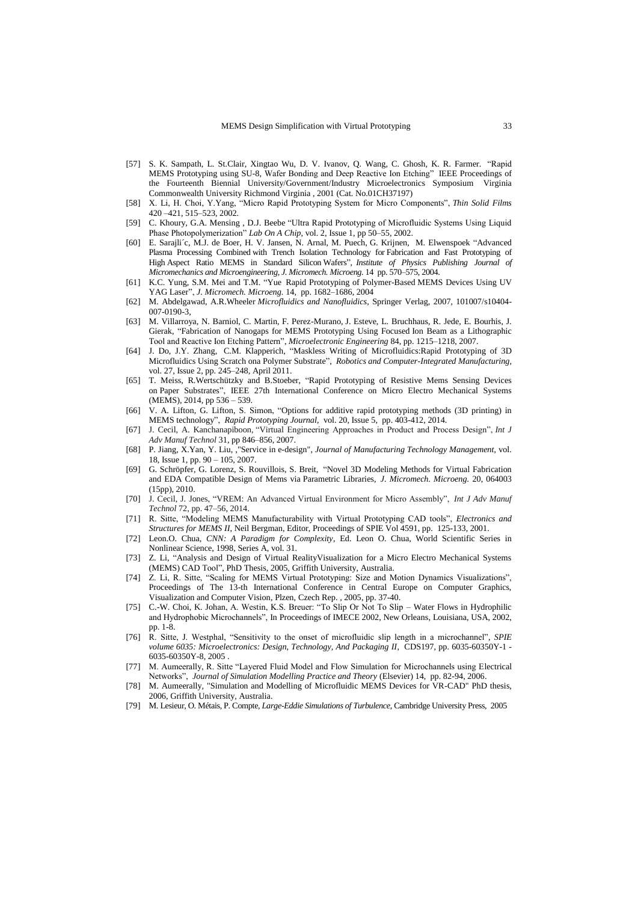- [57] S. K. Sampath, L. St.Clair, Xingtao Wu, D. V. Ivanov, Q. Wang, C. Ghosh, K. R. Farmer. "Rapid MEMS Prototyping using SU-8, Wafer Bonding and Deep Reactive Ion Etching" IEEE Proceedings of the Fourteenth Biennial University/Government/Industry Microelectronics Symposium Virginia Commonwealth University Richmond Virginia , 2001 (Cat. No.01CH37197)
- [58] X. Li, H. Choi, Y.Yang, "Micro Rapid Prototyping System for Micro Components", *Thin Solid Films* 420 –421, 515–523, 2002.
- [59] C. Khoury, G.A. Mensing , D.J. Beebe "Ultra Rapid Prototyping of Microfluidic Systems Using Liquid Phase Photopolymerization" *Lab On A Chip*, vol. 2, Issue 1, pp 50-55, 2002.
- [60] E. Sarajli´c, M.J. de Boer, H. V. Jansen, N. Arnal, M. Puech, G. Krijnen, M. Elwenspoek "Advanced Plasma Processing Combined with Trench Isolation Technology for Fabrication and Fast Prototyping of High Aspect Ratio MEMS in Standard Silicon Wafers", *Institute of Physics Publishing Journal of Micromechanics and Microengineering, J. Micromech. Microeng.* 14 pp. 570–575, 2004.
- [61] K.C. Yung, S.M. Mei and T.M. "Yue Rapid Prototyping of Polymer-Based MEMS Devices Using UV YAG Laser", *J. Micromech. Microeng.* 14, pp. 1682–1686, 2004
- [62] M. Abdelgawad, A.R.Wheeler *Microfluidics and Nanofluidics*, Springer Verlag, 2007, 101007/s10404- 007-0190-3,
- [63] M. Villarroya, N. Barniol, C. Martin, F. Perez-Murano, J. Esteve, L. Bruchhaus, R. Jede, E. Bourhis, J. Gierak, "Fabrication of Nanogaps for MEMS Prototyping Using Focused Ion Beam as a Lithographic Tool and Reactive Ion Etching Pattern", *Microelectronic Engineering* 84, pp. 1215–1218, 2007.
- [64] J. Do, J.Y. Zhang, C.M. Klapperich, "Maskless Writing of Microfluidics:Rapid Prototyping of 3D Microfluidics Using Scratch ona Polymer Substrate", *Robotics and Computer-Integrated Manufacturing,*  vol. 27, Issue 2, pp. 245–248, April 2011.
- [65] T. Meiss, R.Wertschützky and B.Stoeber, "Rapid Prototyping of Resistive Mems Sensing Devices on Paper Substrates", IEEE 27th International Conference on Micro Electro Mechanical Systems (MEMS), 2014, pp 536 – 539.
- [66] V. A. Lifton, G. Lifton, S. Simon, "Options for additive rapid prototyping methods (3D printing) in MEMS technology", *Rapid Prototyping Journal*, vol. 20, Issue 5, pp. 403-412, 2014.
- [67] J. Cecil, A. Kanchanapiboon, "Virtual Engineering Approaches in Product and Process Design", *Int J Adv Manuf Technol* 31, pp 846–856, 2007.
- [68] P. Jiang, X.Yan, Y. Liu, ,"Service in e-design", *Journal of Manufacturing Technology Management*, vol. 18, Issue 1, pp. 90 – 105, 2007.
- [69] G. Schröpfer, G. Lorenz, S. Rouvillois, S. Breit, "Novel 3D Modeling Methods for Virtual Fabrication and EDA Compatible Design of Mems via Parametric Libraries, *J. Micromech. Microeng.* 20, 064003 (15pp), 2010.
- [70] J. Cecil, J. Jones, "VREM: An Advanced Virtual Environment for Micro Assembly", *Int J Adv Manuf Technol* 72, pp. 47–56, 2014.
- [71] R. Sitte, "Modeling MEMS Manufacturability with Virtual Prototyping CAD tools", *Electronics and Structures for MEMS II*, Neil Bergman, Editor, Proceedings of SPIE Vol 4591, pp. 125-133, 2001.
- [72] Leon.O. Chua, *CNN: A Paradigm for Complexity*, Ed. Leon O. Chua, World Scientific Series in Nonlinear Science, 1998, Series A, vol. 31.
- [73] Z. Li, "Analysis and Design of Virtual RealityVisualization for a Micro Electro Mechanical Systems (MEMS) CAD Tool", PhD Thesis, 2005, Griffith University, Australia.
- [74] Z. Li, R. Sitte, "Scaling for MEMS Virtual Prototyping: Size and Motion Dynamics Visualizations", Proceedings of The 13-th International Conference in Central Europe on Computer Graphics, Visualization and Computer Vision, Plzen, Czech Rep. , 2005, pp. 37-40.
- [75] C.-W. Choi, K. Johan, A. Westin, K.S. Breuer: "To Slip Or Not To Slip Water Flows in Hydrophilic and Hydrophobic Microchannels", In Proceedings of IMECE 2002, New Orleans, Louisiana, USA, 2002, pp. 1-8.
- [76] R. Sitte, J. Westphal, "Sensitivity to the onset of microfluidic slip length in a microchannel", *SPIE volume 6035: Microelectronics: Design, Technology, And Packaging II*, CDS197, pp. 6035-60350Y-1 - 6035-60350Y-8*,* 2005 .
- [77] M. Aumeerally, R. Sitte "Layered Fluid Model and Flow Simulation for Microchannels using Electrical Networks", *Journal of Simulation Modelling Practice and Theory* (Elsevier) 14, pp. 82-94, 2006.
- [78] M. Aumeerally, "Simulation and Modelling of Microfluidic MEMS Devices for VR-CAD" PhD thesis, 2006, Griffith University, Australia.
- [79] M. Lesieur, O. Métais, P. Compte, *Large-Eddie Simulations of Turbulence*, Cambridge University Press, 2005